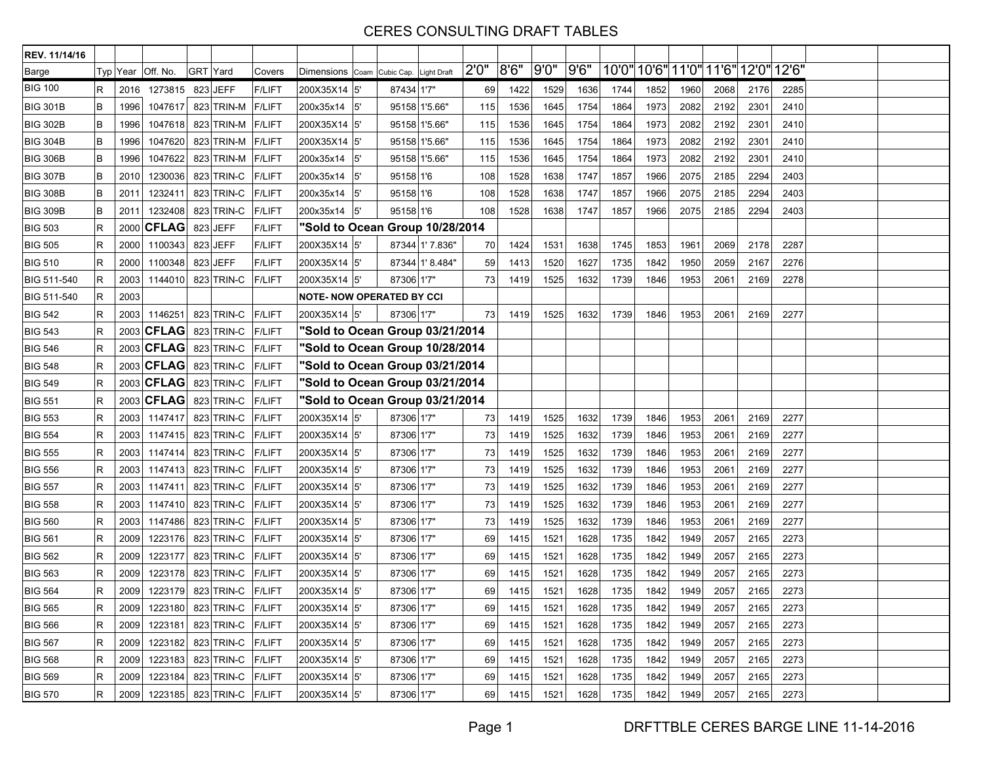| REV. 11/14/16   |             |          |              |                                |               |              |                                  |                 |       |      |      |      |                               |      |      |      |                  |       |  |
|-----------------|-------------|----------|--------------|--------------------------------|---------------|--------------|----------------------------------|-----------------|-------|------|------|------|-------------------------------|------|------|------|------------------|-------|--|
| <b>Barge</b>    |             | Typ Year | Off. No.     | <b>GRT</b> Yard                | Covers        | Dimensions   | Coam Cubic Cap. Light Draft      |                 | 2'0'' | 8'6" | 9'0" | 9'6" | 10'0" 10'6" 11'0" 11'6" 12'0" |      |      |      |                  | 12'6" |  |
| <b>BIG 100</b>  | $\mathsf R$ | 2016     | 1273815      | 823 JEFF                       | <b>F/LIFT</b> | 200X35X14 5' | 87434 1'7"                       |                 | 69    | 1422 | 1529 | 1636 | 1744                          | 1852 | 1960 | 2068 | 2176             | 2285  |  |
| <b>BIG 301B</b> | B           | 1996     | 1047617      | 823 TRIN-M                     | <b>F/LIFT</b> | 200x35x14    | 5'                               | 95158 1'5.66"   | 115   | 1536 | 1645 | 1754 | 1864                          | 1973 | 2082 | 2192 | 2301             | 2410  |  |
| <b>BIG 302B</b> | B           | 1996     | 1047618      | 823 TRIN-M                     | <b>F/LIFT</b> | 200X35X14 5' |                                  | 95158 1'5.66"   | 115   | 1536 | 1645 | 1754 | 1864                          | 1973 | 2082 | 2192 | 2301             | 2410  |  |
| <b>BIG 304B</b> | B           | 1996     | 1047620      | 823 TRIN-M                     | <b>F/LIFT</b> | 200X35X14 5' |                                  | 95158 1'5.66"   | 115   | 1536 | 1645 | 1754 | 1864                          | 1973 | 2082 | 2192 | 230 <sup>7</sup> | 2410  |  |
| <b>BIG 306B</b> | $\,$ B      | 1996     | 1047622      | 823 TRIN-M                     | <b>F/LIFT</b> | 200x35x14    | l5'                              | 95158 1'5.66"   | 115   | 1536 | 1645 | 1754 | 1864                          | 1973 | 2082 | 2192 | 2301             | 2410  |  |
| <b>BIG 307B</b> | $\,$ B      | 2010     | 1230036      | 823 TRIN-C                     | <b>F/LIFT</b> | 200x35x14    | 5'<br>95158 1'6                  |                 | 108   | 1528 | 1638 | 1747 | 1857                          | 1966 | 2075 | 2185 | 2294             | 2403  |  |
| <b>BIG 308B</b> | B           | 2011     | 1232411      | 823 TRIN-C                     | <b>F/LIFT</b> | 200x35x14    | 5'<br>95158 1'6                  |                 | 108   | 1528 | 1638 | 1747 | 1857                          | 1966 | 2075 | 2185 | 2294             | 2403  |  |
| <b>BIG 309B</b> | $\,$ B      | 2011     | 1232408      | 823 TRIN-C                     | <b>F/LIFT</b> | 200x35x14    | 5'<br>95158 1'6                  |                 | 108   | 1528 | 1638 | 1747 | 1857                          | 1966 | 2075 | 2185 | 2294             | 2403  |  |
| <b>BIG 503</b>  | $\mathsf R$ | 2000     | <b>CFLAG</b> | 823 JEFF                       | <b>F/LIFT</b> |              | "Sold to Ocean Group 10/28/2014  |                 |       |      |      |      |                               |      |      |      |                  |       |  |
| <b>BIG 505</b>  | $\mathsf R$ | 2000     | 1100343      | 823 JEFF                       | <b>F/LIFT</b> | 200X35X14 5' |                                  | 87344 1' 7.836" | 70    | 1424 | 1531 | 1638 | 1745                          | 1853 | 1961 | 2069 | 2178             | 2287  |  |
| <b>BIG 510</b>  | $\mathsf R$ | 2000     | 1100348      | 823 JEFF                       | <b>F/LIFT</b> | 200X35X14 5' |                                  | 87344 1'8.484"  | 59    | 1413 | 1520 | 1627 | 1735                          | 1842 | 1950 | 2059 | 2167             | 2276  |  |
| BIG 511-540     | $\mathsf R$ | 2003     | 1144010      | 823 TRIN-C                     | <b>F/LIFT</b> | 200X35X14 5' | 87306 1'7"                       |                 | 73    | 1419 | 1525 | 1632 | 1739                          | 1846 | 1953 | 2061 | 2169             | 2278  |  |
| BIG 511-540     | $\mathsf R$ | 2003     |              |                                |               |              | <b>NOTE- NOW OPERATED BY CCI</b> |                 |       |      |      |      |                               |      |      |      |                  |       |  |
| <b>BIG 542</b>  | $\mathsf R$ | 2003     | 1146251      | 823 TRIN-C                     | <b>F/LIFT</b> | 200X35X14 5' | 87306 1'7"                       |                 | 73    | 1419 | 1525 | 1632 | 1739                          | 1846 | 1953 | 2061 | 2169             | 2277  |  |
| <b>BIG 543</b>  | $\mathsf R$ |          | 2003 CFLAG   | 823 TRIN-C                     | <b>F/LIFT</b> |              | "Sold to Ocean Group 03/21/2014  |                 |       |      |      |      |                               |      |      |      |                  |       |  |
| <b>BIG 546</b>  | $\mathsf R$ |          | 2003 CFLAG   | 823 TRIN-C                     | <b>F/LIFT</b> |              | "Sold to Ocean Group 10/28/2014  |                 |       |      |      |      |                               |      |      |      |                  |       |  |
| <b>BIG 548</b>  | $\mathsf R$ |          | 2003 CFLAG   | 823 TRIN-C                     | <b>F/LIFT</b> |              | "Sold to Ocean Group 03/21/2014  |                 |       |      |      |      |                               |      |      |      |                  |       |  |
| <b>BIG 549</b>  | $\mathsf R$ |          | 2003 CFLAG   | 823 TRIN-C                     | <b>F/LIFT</b> |              | "Sold to Ocean Group 03/21/2014  |                 |       |      |      |      |                               |      |      |      |                  |       |  |
| <b>BIG 551</b>  | $\mathsf R$ |          | 2003 CFLAG   | 823 TRIN-C                     | <b>F/LIFT</b> |              | "Sold to Ocean Group 03/21/2014  |                 |       |      |      |      |                               |      |      |      |                  |       |  |
| <b>BIG 553</b>  | $\mathsf R$ | 2003     | 1147417      | 823 TRIN-C                     | <b>F/LIFT</b> | 200X35X14 5' | 87306 1'7"                       |                 | 73    | 1419 | 1525 | 1632 | 1739                          | 1846 | 1953 | 2061 | 2169             | 2277  |  |
| <b>BIG 554</b>  | $\mathsf R$ | 2003     | 1147415      | 823 TRIN-C                     | <b>F/LIFT</b> | 200X35X14 5' | 87306 1'7"                       |                 | 73    | 1419 | 1525 | 1632 | 1739                          | 1846 | 1953 | 2061 | 2169             | 2277  |  |
| <b>BIG 555</b>  | $\mathsf R$ | 2003     | 1147414      | 823 TRIN-C                     | <b>F/LIFT</b> | 200X35X14 5' | 87306 1'7"                       |                 | 73    | 1419 | 1525 | 1632 | 1739                          | 1846 | 1953 | 2061 | 2169             | 2277  |  |
| <b>BIG 556</b>  | $\mathsf R$ | 2003     | 1147413      | 823 TRIN-C                     | <b>F/LIFT</b> | 200X35X14 5' | 87306 1'7"                       |                 | 73    | 1419 | 1525 | 1632 | 1739                          | 1846 | 1953 | 2061 | 2169             | 2277  |  |
| <b>BIG 557</b>  | $\mathsf R$ | 2003     | 1147411      | 823 TRIN-C                     | <b>F/LIFT</b> | 200X35X14 5' | 87306 1'7"                       |                 | 73    | 1419 | 1525 | 1632 | 1739                          | 1846 | 1953 | 2061 | 2169             | 2277  |  |
| <b>BIG 558</b>  | $\mathsf R$ | 2003     | 1147410      | 823 TRIN-C                     | <b>F/LIFT</b> | 200X35X14 5' | 87306 1'7"                       |                 | 73    | 1419 | 1525 | 1632 | 1739                          | 1846 | 1953 | 2061 | 2169             | 2277  |  |
| <b>BIG 560</b>  | $\mathsf R$ | 2003     | 1147486      | 823 TRIN-C                     | <b>F/LIFT</b> | 200X35X14 5' | 87306 1'7"                       |                 | 73    | 1419 | 1525 | 1632 | 1739                          | 1846 | 1953 | 2061 | 2169             | 2277  |  |
| <b>BIG 561</b>  | $\mathsf R$ | 2009     | 1223176      | 823 TRIN-C                     | <b>F/LIFT</b> | 200X35X14 5' | 87306 1'7"                       |                 | 69    | 1415 | 1521 | 1628 | 1735                          | 1842 | 1949 | 2057 | 2165             | 2273  |  |
| <b>BIG 562</b>  | R           | 2009     | 1223177      | 823 TRIN-C                     | <b>F/LIFT</b> | 200X35X14 5' | 87306 1'7"                       |                 | 69    | 1415 | 1521 | 1628 | 1735                          | 1842 | 1949 | 2057 | 2165             | 2273  |  |
| <b>BIG 563</b>  | $\mathsf R$ | 2009     | 1223178      | 823 TRIN-C                     | <b>F/LIFT</b> | 200X35X14 5' | 87306 1'7"                       |                 | 69    | 1415 | 1521 | 1628 | 1735                          | 1842 | 1949 | 2057 | 2165             | 2273  |  |
| <b>BIG 564</b>  | $\mathsf R$ | 2009     | 1223179      | 823 TRIN-C                     | <b>F/LIFT</b> | 200X35X14 5' | 87306 1'7"                       |                 | 69    | 1415 | 1521 | 1628 | 1735                          | 1842 | 1949 | 2057 | 2165             | 2273  |  |
| <b>BIG 565</b>  | ĸ           |          |              | 2009 1223180 823 TRIN-C F/LIFT |               | 200X35X14 5  | 87306 1'7"                       |                 | 69    | 1415 | 1521 | 1628 | 1735                          | 1842 | 1949 | 2057 | 2165             | 2273  |  |
| <b>BIG 566</b>  | R.          | 2009     | 1223181      | 823 TRIN-C F/LIFT              |               | 200X35X14 5' | 87306 1'7"                       |                 | 69    | 1415 | 1521 | 1628 | 1735                          | 1842 | 1949 | 2057 | 2165             | 2273  |  |
| <b>BIG 567</b>  | R           |          |              | 2009 1223182 823 TRIN-C F/LIFT |               | 200X35X14 5' | 87306 1'7"                       |                 | 69    | 1415 | 1521 | 1628 | 1735                          | 1842 | 1949 | 2057 | 2165             | 2273  |  |
| <b>BIG 568</b>  | R           | 2009     | 1223183      | 823 TRIN-C F/LIFT              |               | 200X35X14 5' | 87306 1'7"                       |                 | 69    | 1415 | 1521 | 1628 | 1735                          | 1842 | 1949 | 2057 | 2165             | 2273  |  |
| <b>BIG 569</b>  | R           | 2009     | 1223184      | 823 TRIN-C F/LIFT              |               | 200X35X14 5' | 87306 1'7"                       |                 | 69    | 1415 | 1521 | 1628 | 1735                          | 1842 | 1949 | 2057 | 2165             | 2273  |  |
| <b>BIG 570</b>  | $\mathsf R$ |          |              | 2009 1223185 823 TRIN-C F/LIFT |               | 200X35X14 5' | 87306 1'7"                       |                 | 69    | 1415 | 1521 | 1628 | 1735                          | 1842 | 1949 | 2057 | 2165             | 2273  |  |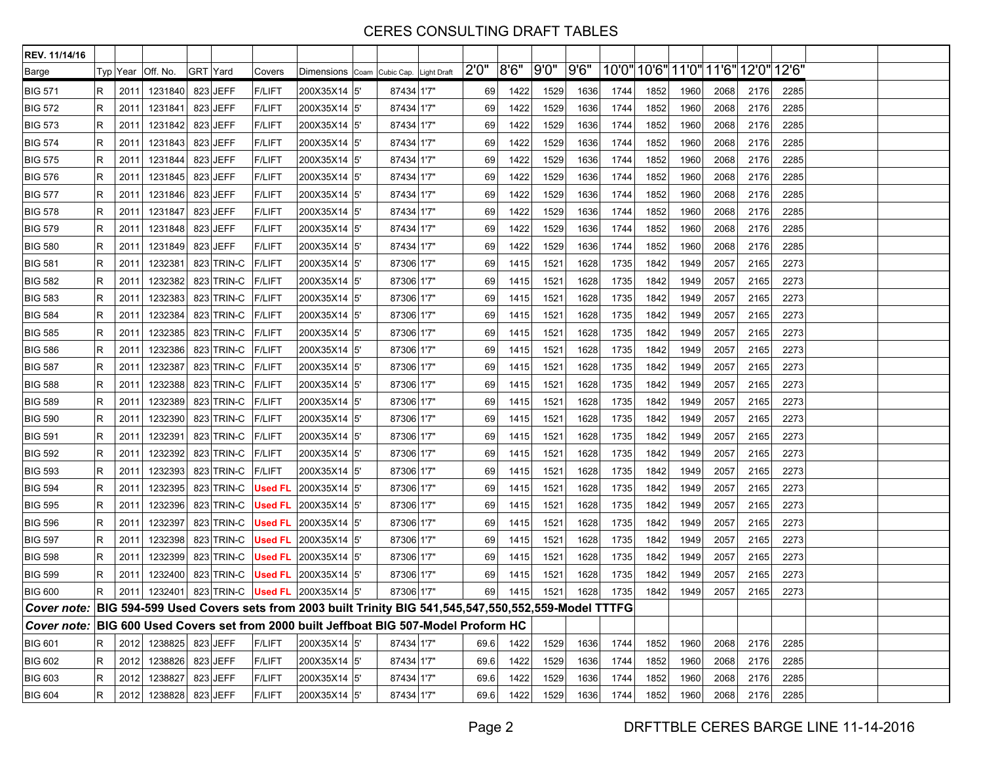| REV. 11/14/16                                                                                            |   |      |                     |          |                   |                |                                        |            |       |      |      |      |      |      |      |                                     |      |      |  |
|----------------------------------------------------------------------------------------------------------|---|------|---------------------|----------|-------------------|----------------|----------------------------------------|------------|-------|------|------|------|------|------|------|-------------------------------------|------|------|--|
| Barge                                                                                                    |   |      | Typ ∣Year ∣Off. No. | GRT Yard |                   | Covers         | Dimensions Coam Cubic Cap. Light Draft |            | 2'0'' | 8'6" | 9'0" | 9'6" |      |      |      | 10'0" 10'6" 11'0" 11'6" 12'0" 12'6" |      |      |  |
| <b>BIG 571</b>                                                                                           | R | 2011 | 1231840             |          | 823 JEFF          | <b>F/LIFT</b>  | 200X35X14 5                            | 87434 1'7" | 69    | 1422 | 1529 | 1636 | 1744 | 1852 | 1960 | 2068                                | 2176 | 2285 |  |
| <b>BIG 572</b>                                                                                           | R | 2011 | 1231841             |          | 823 JEFF          | <b>F/LIFT</b>  | 200X35X14 5'                           | 87434 1'7" | 69    | 1422 | 1529 | 1636 | 1744 | 1852 | 1960 | 2068                                | 2176 | 2285 |  |
| <b>BIG 573</b>                                                                                           | R | 2011 | 1231842             |          | 823 JEFF          | <b>F/LIFT</b>  | 200X35X14 5                            | 87434 1'7" | 69    | 1422 | 1529 | 1636 | 1744 | 1852 | 1960 | 2068                                | 2176 | 2285 |  |
| <b>BIG 574</b>                                                                                           | R | 2011 | 1231843             |          | 823 JEFF          | <b>F/LIFT</b>  | 200X35X14 5                            | 87434 1'7" | 69    | 1422 | 1529 | 1636 | 1744 | 1852 | 1960 | 2068                                | 2176 | 2285 |  |
| <b>BIG 575</b>                                                                                           | R | 2011 | 1231844             |          | 823 JEFF          | <b>F/LIFT</b>  | 200X35X14 5                            | 87434 1'7" | 69    | 1422 | 1529 | 1636 | 1744 | 1852 | 1960 | 2068                                | 2176 | 2285 |  |
| <b>BIG 576</b>                                                                                           | R | 2011 | 1231845             |          | 823 JEFF          | <b>F/LIFT</b>  | 200X35X14 5'                           | 87434 1'7" | 69    | 1422 | 1529 | 1636 | 1744 | 1852 | 1960 | 2068                                | 2176 | 2285 |  |
| <b>BIG 577</b>                                                                                           | R | 2011 | 1231846             |          | 823 JEFF          | <b>F/LIFT</b>  | 200X35X14 5                            | 87434 1'7" | 69    | 1422 | 1529 | 1636 | 1744 | 1852 | 1960 | 2068                                | 2176 | 2285 |  |
| <b>BIG 578</b>                                                                                           | R | 2011 | 1231847             |          | 823 JEFF          | <b>F/LIFT</b>  | 200X35X14   5'                         | 87434 1'7" | 69    | 1422 | 1529 | 1636 | 1744 | 1852 | 1960 | 2068                                | 2176 | 2285 |  |
| <b>BIG 579</b>                                                                                           | R | 2011 | 1231848             |          | 823 JEFF          | <b>F/LIFT</b>  | 200X35X14 5'                           | 87434 1'7" | 69    | 1422 | 1529 | 1636 | 1744 | 1852 | 1960 | 2068                                | 2176 | 2285 |  |
| <b>BIG 580</b>                                                                                           | R | 2011 | 1231849             |          | 823 JEFF          | <b>F/LIFT</b>  | 200X35X14 5                            | 87434 1'7" | 69    | 1422 | 1529 | 1636 | 1744 | 1852 | 1960 | 2068                                | 2176 | 2285 |  |
| <b>BIG 581</b>                                                                                           | R | 2011 | 1232381             |          | 823 TRIN-C        | <b>F/LIFT</b>  | 200X35X14 5                            | 87306 1'7" | 69    | 1415 | 1521 | 1628 | 1735 | 1842 | 1949 | 2057                                | 2165 | 2273 |  |
| <b>BIG 582</b>                                                                                           | R | 2011 | 1232382             |          | 823 TRIN-C        | <b>F/LIFT</b>  | 200X35X14 5'                           | 87306 1'7" | 69    | 1415 | 1521 | 1628 | 1735 | 1842 | 1949 | 2057                                | 2165 | 2273 |  |
| <b>BIG 583</b>                                                                                           | R | 2011 | 1232383             |          | 823 TRIN-C        | <b>F/LIFT</b>  | 200X35X14 5'                           | 87306 1'7" | 69    | 1415 | 1521 | 1628 | 1735 | 1842 | 1949 | 2057                                | 2165 | 2273 |  |
| <b>BIG 584</b>                                                                                           | R | 2011 | 1232384             |          | 823 TRIN-C        | <b>F/LIFT</b>  | 200X35X14 5                            | 87306 1'7" | 69    | 1415 | 1521 | 1628 | 1735 | 1842 | 1949 | 2057                                | 2165 | 2273 |  |
| <b>BIG 585</b>                                                                                           | R | 2011 | 1232385             |          | 823 TRIN-C        | <b>F/LIFT</b>  | 200X35X14 5'                           | 87306 1'7" | 69    | 1415 | 1521 | 1628 | 1735 | 1842 | 1949 | 2057                                | 2165 | 2273 |  |
| <b>BIG 586</b>                                                                                           | R | 2011 | 1232386             |          | 823 TRIN-C        | <b>F/LIFT</b>  | 200X35X14 5                            | 87306 1'7" | 69    | 1415 | 1521 | 1628 | 1735 | 1842 | 1949 | 2057                                | 2165 | 2273 |  |
| <b>BIG 587</b>                                                                                           | R | 2011 | 1232387             |          | 823 TRIN-C F/LIFT |                | 200X35X14 5                            | 87306 1'7" | 69    | 1415 | 1521 | 1628 | 1735 | 1842 | 1949 | 2057                                | 2165 | 2273 |  |
| <b>BIG 588</b>                                                                                           | R | 2011 | 1232388             |          | 823 TRIN-C        | <b>F/LIFT</b>  | 200X35X14 5'                           | 87306 1'7" | 69    | 1415 | 1521 | 1628 | 1735 | 1842 | 1949 | 2057                                | 2165 | 2273 |  |
| <b>BIG 589</b>                                                                                           | R | 201' | 1232389             |          | 823 TRIN-C        | <b>F/LIFT</b>  | 200X35X14 5                            | 87306 1'7" | 69    | 1415 | 1521 | 1628 | 1735 | 1842 | 1949 | 2057                                | 2165 | 2273 |  |
| <b>BIG 590</b>                                                                                           | R | 2011 | 1232390             |          | 823 TRIN-C        | <b>F/LIFT</b>  | 200X35X14 5                            | 87306 1'7" | 69    | 1415 | 1521 | 1628 | 1735 | 1842 | 1949 | 2057                                | 2165 | 2273 |  |
| <b>BIG 591</b>                                                                                           | R | 2011 | 1232391             |          | 823 TRIN-C        | <b>F/LIFT</b>  | 200X35X14 5'                           | 87306 1'7" | 69    | 1415 | 1521 | 1628 | 1735 | 1842 | 1949 | 2057                                | 2165 | 2273 |  |
| <b>BIG 592</b>                                                                                           | R | 2011 | 1232392             |          | 823 TRIN-C        | <b>F/LIFT</b>  | 200X35X14 5                            | 87306 1'7" | 69    | 1415 | 1521 | 1628 | 1735 | 1842 | 1949 | 2057                                | 2165 | 2273 |  |
| <b>BIG 593</b>                                                                                           | R | 2011 | 1232393             |          | 823 TRIN-C        | <b>F/LIFT</b>  | 200X35X14 5                            | 87306 1'7" | 69    | 1415 | 1521 | 1628 | 1735 | 1842 | 1949 | 2057                                | 2165 | 2273 |  |
| <b>BIG 594</b>                                                                                           | R | 2011 | 1232395             |          | 823 TRIN-C        | <b>Used FL</b> | 200X35X14 5                            | 87306 1'7" | 69    | 1415 | 1521 | 1628 | 1735 | 1842 | 1949 | 2057                                | 2165 | 2273 |  |
| <b>BIG 595</b>                                                                                           | R | 2011 | 1232396             |          | 823 TRIN-C        | <b>Used FL</b> | 200X35X14 5                            | 87306 1'7" | 69    | 1415 | 1521 | 1628 | 1735 | 1842 | 1949 | 2057                                | 2165 | 2273 |  |
| <b>BIG 596</b>                                                                                           | R | 2011 | 1232397             |          | 823 TRIN-C        | <b>Used FL</b> | 200X35X14 5                            | 87306 1'7" | 69    | 1415 | 1521 | 1628 | 1735 | 1842 | 1949 | 2057                                | 2165 | 2273 |  |
| <b>BIG 597</b>                                                                                           | R | 2011 | 1232398             |          | 823 TRIN-C        | <b>Used FL</b> | 200X35X14 5                            | 87306 1'7" | 69    | 1415 | 1521 | 1628 | 1735 | 1842 | 1949 | 2057                                | 2165 | 2273 |  |
| <b>BIG 598</b>                                                                                           | R | 2011 | 1232399             |          | 823 TRIN-C        |                | <b>Used FL 200X35X14 5'</b>            | 87306 1'7" | 69    | 1415 | 1521 | 1628 | 1735 | 1842 | 1949 | 2057                                | 2165 | 2273 |  |
| <b>BIG 599</b>                                                                                           | R | 2011 | 1232400             |          | 823 TRIN-C        | Used FL        | 200X35X14 5                            | 87306 1'7" | 69    | 1415 | 1521 | 1628 | 1735 | 1842 | 1949 | 2057                                | 2165 | 2273 |  |
| <b>BIG 600</b>                                                                                           | R | 2011 | 1232401             |          | 823 TRIN-C        |                | <b>Used FL</b> 200X35X14 5             | 87306 1'7" | 69    | 1415 | 1521 | 1628 | 1735 | 1842 | 1949 | 2057                                | 2165 | 2273 |  |
| Cover note: BIG 594-599 Used Covers sets from 2003 built Trinity BIG 541,545,547,550,552,559-Model TTTFG |   |      |                     |          |                   |                |                                        |            |       |      |      |      |      |      |      |                                     |      |      |  |
| Cover note: BIG 600 Used Covers set from 2000 built Jeffboat BIG 507-Model Proform HC                    |   |      |                     |          |                   |                |                                        |            |       |      |      |      |      |      |      |                                     |      |      |  |
| <b>BIG 601</b>                                                                                           | R |      | 2012 1238825        |          | 823 JEFF          | <b>F/LIFT</b>  | 200X35X14 5'                           | 87434 1'7" | 69.6  | 1422 | 1529 | 1636 | 1744 | 1852 | 1960 | 2068                                | 2176 | 2285 |  |
| <b>BIG 602</b>                                                                                           | R |      | 2012 1238826        |          | 823 JEFF          | <b>F/LIFT</b>  | 200X35X14 5'                           | 87434 1'7" | 69.6  | 1422 | 1529 | 1636 | 1744 | 1852 | 1960 | 2068                                | 2176 | 2285 |  |
| <b>BIG 603</b>                                                                                           | R | 2012 | 1238827             |          | 823 JEFF          | <b>F/LIFT</b>  | 200X35X14 5'                           | 87434 1'7" | 69.6  | 1422 | 1529 | 1636 | 1744 | 1852 | 1960 | 2068                                | 2176 | 2285 |  |
| <b>BIG 604</b>                                                                                           | R |      | 2012 1238828        |          | 823 JEFF          | <b>F/LIFT</b>  | 200X35X14 5'                           | 87434 1'7" | 69.6  | 1422 | 1529 | 1636 | 1744 | 1852 | 1960 | 2068                                | 2176 | 2285 |  |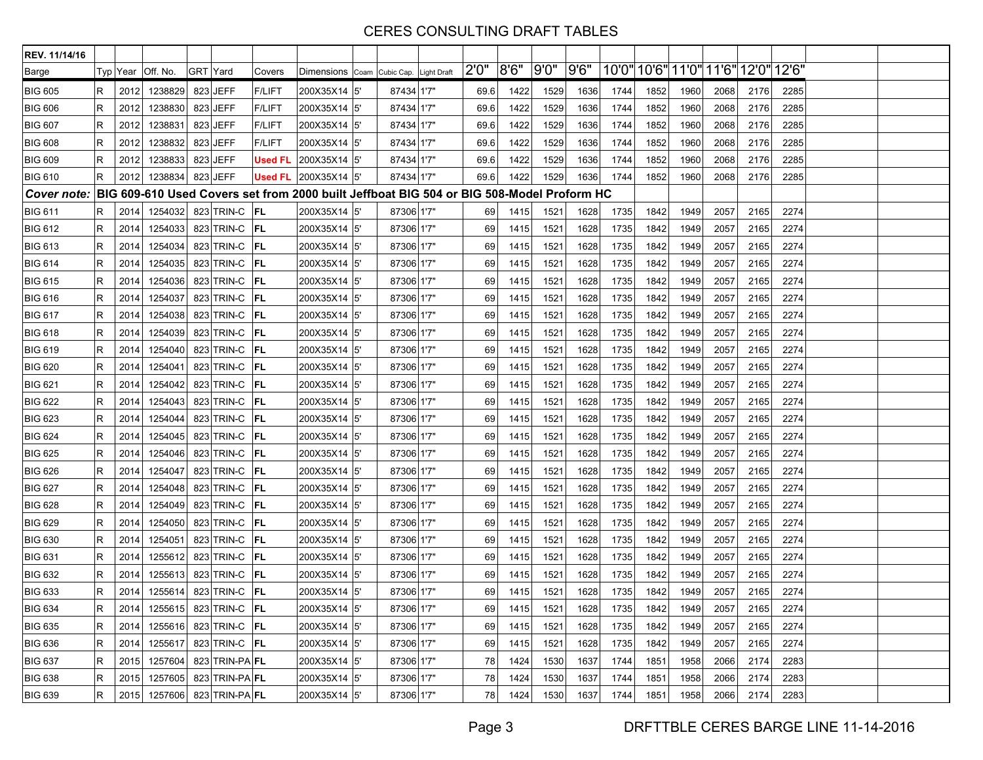| REV. 11/14/16      |   |      |                              |          |                      |                |                                                                                          |            |       |       |       |      |      |      |                                     |      |      |      |  |
|--------------------|---|------|------------------------------|----------|----------------------|----------------|------------------------------------------------------------------------------------------|------------|-------|-------|-------|------|------|------|-------------------------------------|------|------|------|--|
| Barge              |   |      | Typ Year   Off. No.          | GRT Yard |                      | Covers         | Dimensions Coam Cubic Cap. Light Draft                                                   |            | 2'0'' | 8'6'' | 9'0'' | 9'6" |      |      | 10'0" 10'6" 11'0" 11'6" 12'0" 12'6" |      |      |      |  |
| <b>BIG 605</b>     | R | 2012 | 1238829                      |          | 823 JEFF             | <b>F/LIFT</b>  | 200X35X14 5                                                                              | 87434 1'7" | 69.6  | 1422  | 1529  | 1636 | 1744 | 1852 | 1960                                | 2068 | 2176 | 2285 |  |
| <b>BIG 606</b>     | R | 2012 | 1238830                      |          | 823 JEFF             | <b>F/LIFT</b>  | 200X35X14 5                                                                              | 87434 1'7" | 69.6  | 1422  | 1529  | 1636 | 1744 | 1852 | 1960                                | 2068 | 2176 | 2285 |  |
| <b>BIG 607</b>     | R | 2012 | 1238831                      |          | 823 JEFF             | <b>F/LIFT</b>  | 200X35X14 5'                                                                             | 87434 1'7" | 69.6  | 1422  | 1529  | 1636 | 1744 | 1852 | 1960                                | 2068 | 2176 | 2285 |  |
| <b>BIG 608</b>     | R | 2012 | 1238832                      |          | 823 JEFF             | <b>F/LIFT</b>  | 200X35X14 5                                                                              | 87434 1'7" | 69.6  | 1422  | 1529  | 1636 | 1744 | 1852 | 1960                                | 2068 | 2176 | 2285 |  |
| <b>BIG 609</b>     | R | 2012 | 1238833                      |          | 823 JEFF             | <b>Used FL</b> | 200X35X14 5                                                                              | 87434 1'7" | 69.6  | 1422  | 1529  | 1636 | 1744 | 1852 | 1960                                | 2068 | 2176 | 2285 |  |
| <b>BIG 610</b>     | R | 2012 | 1238834                      |          | 823 JEFF             | <b>Used FL</b> | 200X35X14 5                                                                              | 87434 1'7" | 69.6  | 1422  | 1529  | 1636 | 1744 | 1852 | 1960                                | 2068 | 2176 | 2285 |  |
| <b>Cover note:</b> |   |      |                              |          |                      |                | BIG 609-610 Used Covers set from 2000 built Jeffboat BIG 504 or BIG 508-Model Proform HC |            |       |       |       |      |      |      |                                     |      |      |      |  |
| <b>BIG 611</b>     | R | 2014 | 1254032                      |          | 823 TRIN-C <b>FL</b> |                | 200X35X14 5                                                                              | 87306 1'7" | 69    | 1415  | 1521  | 1628 | 1735 | 1842 | 1949                                | 2057 | 2165 | 2274 |  |
| <b>BIG 612</b>     | R | 2014 | 1254033                      |          | 823 TRIN-C <b>FL</b> |                | 200X35X14 5                                                                              | 87306 1'7" | 69    | 1415  | 1521  | 1628 | 1735 | 1842 | 1949                                | 2057 | 2165 | 2274 |  |
| <b>BIG 613</b>     | R | 2014 | 1254034                      |          | 823 TRIN-C <b>FL</b> |                | 200X35X14 5                                                                              | 87306 1'7" | 69    | 1415  | 1521  | 1628 | 1735 | 1842 | 1949                                | 2057 | 2165 | 2274 |  |
| <b>BIG 614</b>     | R | 2014 | 1254035                      |          | 823 TRIN-C <b>FL</b> |                | 200X35X14 5                                                                              | 87306 1'7" | 69    | 1415  | 1521  | 1628 | 1735 | 1842 | 1949                                | 2057 | 2165 | 2274 |  |
| <b>BIG 615</b>     | R | 2014 | 1254036                      |          | 823 TRIN-C <b>FL</b> |                | 200X35X14 5'                                                                             | 87306 1'7" | 69    | 1415  | 1521  | 1628 | 1735 | 1842 | 1949                                | 2057 | 2165 | 2274 |  |
| <b>BIG 616</b>     | R | 2014 | 1254037                      |          | 823 TRIN-C <b>FL</b> |                | 200X35X14 5                                                                              | 87306 1'7" | 69    | 1415  | 1521  | 1628 | 1735 | 1842 | 1949                                | 2057 | 2165 | 2274 |  |
| <b>BIG 617</b>     | R | 2014 | 1254038                      |          | 823 TRIN-C <b>FL</b> |                | 200X35X14 5                                                                              | 87306 1'7" | 69    | 1415  | 1521  | 1628 | 1735 | 1842 | 1949                                | 2057 | 2165 | 2274 |  |
| <b>BIG 618</b>     | R | 2014 | 1254039                      |          | 823 TRIN-C <b>FL</b> |                | 200X35X14 5                                                                              | 87306 1'7" | 69    | 1415  | 1521  | 1628 | 1735 | 1842 | 1949                                | 2057 | 2165 | 2274 |  |
| <b>BIG 619</b>     | R | 2014 | 1254040                      |          | 823 TRIN-C FL        |                | 200X35X14 5'                                                                             | 87306 1'7" | 69    | 1415  | 1521  | 1628 | 1735 | 1842 | 1949                                | 2057 | 2165 | 2274 |  |
| <b>BIG 620</b>     | R | 2014 | 1254041                      |          | 823 TRIN-C <b>FL</b> |                | 200X35X14 5                                                                              | 87306 1'7" | 69    | 1415  | 1521  | 1628 | 1735 | 1842 | 1949                                | 2057 | 2165 | 2274 |  |
| <b>BIG 621</b>     | R | 2014 | 1254042                      |          | 823 TRIN-C <b>FL</b> |                | 200X35X14 5                                                                              | 87306 1'7" | 69    | 1415  | 1521  | 1628 | 1735 | 1842 | 1949                                | 2057 | 2165 | 2274 |  |
| <b>BIG 622</b>     | R | 2014 | 1254043                      |          | 823 TRIN-C FL        |                | 200X35X14 5'                                                                             | 87306 1'7" | 69    | 1415  | 1521  | 1628 | 1735 | 1842 | 1949                                | 2057 | 2165 | 2274 |  |
| <b>BIG 623</b>     | R | 2014 | 1254044                      |          | 823 TRIN-C FL        |                | 200X35X14 5                                                                              | 87306 1'7" | 69    | 1415  | 1521  | 1628 | 1735 | 1842 | 1949                                | 2057 | 2165 | 2274 |  |
| <b>BIG 624</b>     | R | 2014 | 1254045                      |          | 823 TRIN C <b>FL</b> |                | 200X35X14 5                                                                              | 87306 1'7" | 69    | 1415  | 1521  | 1628 | 1735 | 1842 | 1949                                | 2057 | 2165 | 2274 |  |
| <b>BIG 625</b>     | R | 2014 | 1254046                      |          | 823 TRIN-C <b>FL</b> |                | 200X35X14 5'                                                                             | 87306 1'7" | 69    | 1415  | 1521  | 1628 | 1735 | 1842 | 1949                                | 2057 | 2165 | 2274 |  |
| <b>BIG 626</b>     | R | 2014 | 1254047                      |          | 823 TRIN-C <b>FL</b> |                | 200X35X14 5'                                                                             | 87306 1'7" | 69    | 1415  | 1521  | 1628 | 1735 | 1842 | 1949                                | 2057 | 2165 | 2274 |  |
| <b>BIG 627</b>     | R | 2014 | 1254048                      |          | 823 TRIN-C <b>FL</b> |                | 200X35X14 5                                                                              | 87306 1'7" | 69    | 1415  | 1521  | 1628 | 1735 | 1842 | 1949                                | 2057 | 2165 | 2274 |  |
| <b>BIG 628</b>     | R | 2014 | 1254049                      |          | 823 TRIN-C <b>FL</b> |                | 200X35X14 5'                                                                             | 87306 1'7" | 69    | 1415  | 1521  | 1628 | 1735 | 1842 | 1949                                | 2057 | 2165 | 2274 |  |
| <b>BIG 629</b>     | R | 2014 | 1254050                      |          | 823 TRIN-C <b>FL</b> |                | 200X35X14 5                                                                              | 87306 1'7" | 69    | 1415  | 1521  | 1628 | 1735 | 1842 | 1949                                | 2057 | 2165 | 2274 |  |
| <b>BIG 630</b>     | R | 2014 | 1254051                      |          | 823 TRIN-C <b>FL</b> |                | 200X35X14 5                                                                              | 87306 1'7" | 69    | 1415  | 1521  | 1628 | 1735 | 1842 | 1949                                | 2057 | 2165 | 2274 |  |
| <b>BIG 631</b>     | R | 2014 | 1255612                      |          | 823 TRIN-C <b>FL</b> |                | 200X35X14 5'                                                                             | 87306 1'7" | 69    | 1415  | 1521  | 1628 | 1735 | 1842 | 1949                                | 2057 | 2165 | 2274 |  |
| <b>BIG 632</b>     | R | 2014 | 1255613                      |          | 823 TRIN-C <b>FL</b> |                | 200X35X14 5'                                                                             | 87306 1'7" | 69    | 1415  | 1521  | 1628 | 1735 | 1842 | 1949                                | 2057 | 2165 | 2274 |  |
| <b>BIG 633</b>     | R | 2014 | 1255614                      |          | 823 TRIN-C <b>FL</b> |                | 200X35X14 5                                                                              | 87306 1'7" | 69    | 1415  | 1521  | 1628 | 1735 | 1842 | 1949                                | 2057 | 2165 | 2274 |  |
| <b>BIG 634</b>     | R | 2014 | 1255615 823 TRIN-C <b>FL</b> |          |                      |                | 200X35X14 5                                                                              | 87306 1'7" | 69    | 1415  | 1521  | 1628 | 1735 | 1842 | 1949                                | 2057 | 2165 | 2274 |  |
| <b>BIG 635</b>     | R | 2014 | 1255616                      |          | 823 TRIN-C <b>FL</b> |                | 200X35X14 5'                                                                             | 87306 1'7" | 69    | 1415  | 1521  | 1628 | 1735 | 1842 | 1949                                | 2057 | 2165 | 2274 |  |
| <b>BIG 636</b>     | R | 2014 | 1255617                      |          | 823 TRIN-C <b>FL</b> |                | 200X35X14 5'                                                                             | 87306 1'7" | 69    | 1415  | 1521  | 1628 | 1735 | 1842 | 1949                                | 2057 | 2165 | 2274 |  |
| <b>BIG 637</b>     | R | 2015 | 1257604                      |          | 823 TRIN-PA FL       |                | 200X35X14 5'                                                                             | 87306 1'7" | 78    | 1424  | 1530  | 1637 | 1744 | 1851 | 1958                                | 2066 | 2174 | 2283 |  |
| <b>BIG 638</b>     | R | 2015 | 1257605                      |          | 823 TRIN-PA FL       |                | 200X35X14 5'                                                                             | 87306 1'7" | 78    | 1424  | 1530  | 1637 | 1744 | 1851 | 1958                                | 2066 | 2174 | 2283 |  |
| <b>BIG 639</b>     | R |      | 2015 1257606 823 TRIN-PA FL  |          |                      |                | 200X35X14 5'                                                                             | 87306 1'7" | 78    | 1424  | 1530  | 1637 | 1744 | 1851 | 1958                                | 2066 | 2174 | 2283 |  |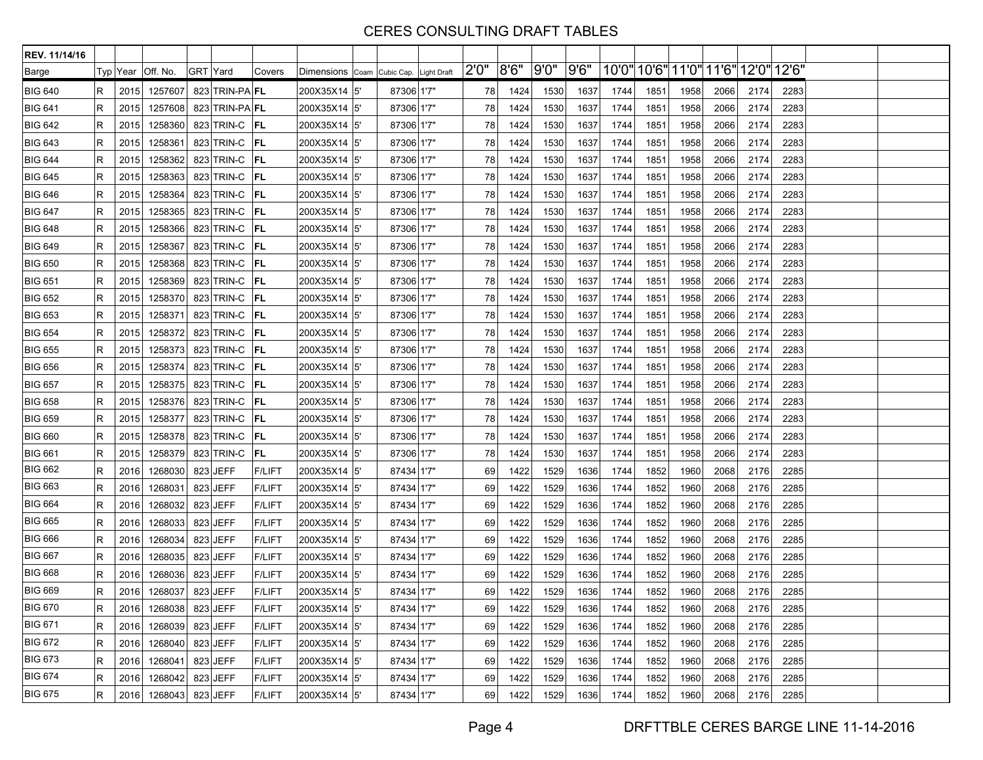| REV. 11/14/16  |                |          |          |                       |               |               |                                        |       |      |      |      |                               |      |      |      |      |       |  |
|----------------|----------------|----------|----------|-----------------------|---------------|---------------|----------------------------------------|-------|------|------|------|-------------------------------|------|------|------|------|-------|--|
| Barge          |                | Typ Year | Off. No. | GRT Yard              | Covers        |               | Dimensions Coam Cubic Cap. Light Draft | 2'0'' | 8'6" | 9'0" | 9'6" | 10'0" 10'6" 11'0" 11'6" 12'0" |      |      |      |      | 12'6" |  |
| <b>BIG 640</b> | R              | 2015     | 1257607  | 823 TRIN-PA FL        |               | 200X35X14 5'  | 87306 1'7"                             | 78    | 1424 | 1530 | 1637 | 1744                          | 1851 | 1958 | 2066 | 2174 | 2283  |  |
| <b>BIG 641</b> | R              | 2015     | 1257608  | 823 TRIN-PA FL        |               | 200X35X14 5'  | 87306 1'7"                             | 78    | 1424 | 1530 | 1637 | 1744                          | 1851 | 1958 | 2066 | 2174 | 2283  |  |
| <b>BIG 642</b> | $\overline{R}$ | 2015     | 1258360  | 823 TRIN-C <b>FL</b>  |               | 200X35X14 5'  | 87306 1'7"                             | 78    | 1424 | 1530 | 1637 | 1744                          | 1851 | 1958 | 2066 | 2174 | 2283  |  |
| <b>BIG 643</b> | R              | 2015     | 1258361  | 823 TRIN-C <b>FL</b>  |               | 200X35X14 5'  | 87306 1'7"                             | 78    | 1424 | 1530 | 1637 | 1744                          | 1851 | 1958 | 2066 | 2174 | 2283  |  |
| <b>BIG 644</b> | R              | 2015     | 1258362  | 823 TRIN-C            | <b>FL</b>     | 200X35X14 5'  | 87306 1'7"                             | 78    | 1424 | 1530 | 1637 | 1744                          | 1851 | 1958 | 2066 | 2174 | 2283  |  |
| <b>BIG 645</b> | $\mathsf R$    | 2015     | 1258363  | 823 TRIN-C <b>FL</b>  |               | 200X35X14 5'  | 87306 1'7"                             | 78    | 1424 | 1530 | 1637 | 1744                          | 1851 | 1958 | 2066 | 2174 | 2283  |  |
| <b>BIG 646</b> | $\mathsf R$    | 2015     | 1258364  | 823 TRIN-C            | <b>FL</b>     | 200X35X14 5'  | 87306 1'7"                             | 78    | 1424 | 1530 | 1637 | 1744                          | 1851 | 1958 | 2066 | 2174 | 2283  |  |
| <b>BIG 647</b> | R              | 2015     | 1258365  | 823 TRIN-C            | IFL.          | 200X35X14 5'  | 87306 1'7"                             | 78    | 1424 | 1530 | 1637 | 1744                          | 1851 | 1958 | 2066 | 2174 | 2283  |  |
| <b>BIG 648</b> | $\mathsf R$    | 2015     | 1258366  | 823 TRIN-C <b>FL</b>  |               | 200X35X14 5'  | 87306 1'7"                             | 78    | 1424 | 1530 | 1637 | 1744                          | 1851 | 1958 | 2066 | 2174 | 2283  |  |
| <b>BIG 649</b> | $\mathsf R$    | 2015     | 1258367  | 823 TRIN-C            | FL            | 200X35X14 5'  | 87306 1'7"                             | 78    | 1424 | 1530 | 1637 | 1744                          | 1851 | 1958 | 2066 | 2174 | 2283  |  |
| <b>BIG 650</b> | $\mathsf R$    | 2015     | 1258368  | 823 TRIN-C FL         |               | 200X35X14 5'  | 87306 1'7"                             | 78    | 1424 | 1530 | 1637 | 1744                          | 1851 | 1958 | 2066 | 2174 | 2283  |  |
| <b>BIG 651</b> | R              | 2015     | 1258369  | 823 TRIN-C            | <b>FL</b>     | 200X35X14 5'  | 87306 1'7"                             | 78    | 1424 | 1530 | 1637 | 1744                          | 1851 | 1958 | 2066 | 2174 | 2283  |  |
| <b>BIG 652</b> | $\mathsf R$    | 2015     | 1258370  | 823 TRIN-C            | FL            | 200X35X14 5'  | 87306 1'7"                             | 78    | 1424 | 1530 | 1637 | 1744                          | 1851 | 1958 | 2066 | 2174 | 2283  |  |
| <b>BIG 653</b> | $\mathsf R$    | 2015     | 1258371  | 823 TRIN-C            | <b>FL</b>     | 200X35X14 5'  | 87306 1'7"                             | 78    | 1424 | 1530 | 1637 | 1744                          | 1851 | 1958 | 2066 | 2174 | 2283  |  |
| <b>BIG 654</b> | R              | 2015     | 1258372  | 823 TRIN-C            | <b>FL</b>     | 200X35X14 5'  | 87306 1'7"                             | 78    | 1424 | 1530 | 1637 | 1744                          | 1851 | 1958 | 2066 | 2174 | 2283  |  |
| <b>BIG 655</b> | $\mathsf R$    | 2015     | 1258373  | 823 TRIN-C            | FL            | 200X35X14 5'  | 87306 1'7"                             | 78    | 1424 | 1530 | 1637 | 1744                          | 1851 | 1958 | 2066 | 2174 | 2283  |  |
| <b>BIG 656</b> | $\mathsf R$    | 2015     | 1258374  | 823 TRIN-C <b>FL</b>  |               | 200X35X14 5'  | 87306 1'7"                             | 78    | 1424 | 1530 | 1637 | 1744                          | 1851 | 1958 | 2066 | 2174 | 2283  |  |
| <b>BIG 657</b> | $\mathsf R$    | 2015     | 1258375  | 823 TRIN-C <b>FL</b>  |               | 200X35X14  5' | 87306 1'7"                             | 78    | 1424 | 1530 | 1637 | 1744                          | 1851 | 1958 | 2066 | 2174 | 2283  |  |
| <b>BIG 658</b> | $\mathsf R$    | 2015     | 1258376  | 823 TRIN-C            | FL            | 200X35X14 5'  | 87306 1'7"                             | 78    | 1424 | 1530 | 1637 | 1744                          | 1851 | 1958 | 2066 | 2174 | 2283  |  |
| <b>BIG 659</b> | $\mathsf R$    | 2015     | 1258377  | 823 TRIN-C <b>FL</b>  |               | 200X35X14 5'  | 87306 1'7"                             | 78    | 1424 | 1530 | 1637 | 1744                          | 1851 | 1958 | 2066 | 2174 | 2283  |  |
| <b>BIG 660</b> | R              | 2015     | 1258378  | 823 TRIN-C            | FL            | 200X35X14  5' | 87306 1'7"                             | 78    | 1424 | 1530 | 1637 | 1744                          | 1851 | 1958 | 2066 | 2174 | 2283  |  |
| <b>BIG 661</b> | R              | 2015     | 1258379  | 823 TRIN-C            | FL            | 200X35X14 5'  | 87306 1'7"                             | 78    | 1424 | 1530 | 1637 | 1744                          | 1851 | 1958 | 2066 | 2174 | 2283  |  |
| <b>BIG 662</b> | $\mathsf R$    | 2016     | 1268030  | 823 JEFF              | <b>F/LIFT</b> | 200X35X14 5   | 87434 1'7"                             | 69    | 1422 | 1529 | 1636 | 1744                          | 1852 | 1960 | 2068 | 2176 | 2285  |  |
| <b>BIG 663</b> | R              | 2016     | 1268031  | 823 JEFF              | <b>F/LIFT</b> | 200X35X14 5'  | 87434 1'7"                             | 69    | 1422 | 1529 | 1636 | 1744                          | 1852 | 1960 | 2068 | 2176 | 2285  |  |
| <b>BIG 664</b> | R              | 2016     | 1268032  | 823 JEFF              | <b>F/LIFT</b> | 200X35X14 5'  | 87434 1'7"                             | 69    | 1422 | 1529 | 1636 | 1744                          | 1852 | 1960 | 2068 | 2176 | 2285  |  |
| <b>BIG 665</b> | $\mathsf R$    | 2016     | 1268033  | 823 JEFF              | <b>F/LIFT</b> | 200X35X14 5'  | 87434 1'7"                             | 69    | 1422 | 1529 | 1636 | 1744                          | 1852 | 1960 | 2068 | 2176 | 2285  |  |
| <b>BIG 666</b> | $\mathsf R$    | 2016     | 1268034  | 823 JEFF              | <b>F/LIFT</b> | 200X35X14 5'  | 87434 1'7"                             | 69    | 1422 | 1529 | 1636 | 1744                          | 1852 | 1960 | 2068 | 2176 | 2285  |  |
| <b>BIG 667</b> | R              | 2016     | 1268035  | 823 JEFF              | <b>F/LIFT</b> | 200X35X14 5'  | 87434 1'7"                             | 69    | 1422 | 1529 | 1636 | 1744                          | 1852 | 1960 | 2068 | 2176 | 2285  |  |
| <b>BIG 668</b> | R              | 2016     | 1268036  | 823 JEFF              | <b>F/LIFT</b> | 200X35X14     | <sup>5'</sup><br>87434 1'7"            | 69    | 1422 | 1529 | 1636 | 1744                          | 1852 | 1960 | 2068 | 2176 | 2285  |  |
| <b>BIG 669</b> | $\mathsf R$    | 2016     | 1268037  | 823 JEFF              | <b>F/LIFT</b> | 200X35X14 5'  | 87434 1'7"                             | 69    | 1422 | 1529 | 1636 | 1744                          | 1852 | 1960 | 2068 | 2176 | 2285  |  |
| <b>BIG 670</b> | R              |          |          | 2016 1268038 823 JEFF | F/LIFT        | 200X35X14 5   | 87434 1'7"                             | 69    | 1422 | 1529 | 1636 | 1744                          | 1852 | 1960 | 2068 | 2176 | 2285  |  |
| <b>BIG 671</b> | $\mathsf R$    | 2016     | 1268039  | 823 JEFF              | <b>F/LIFT</b> | 200X35X14 5'  | 87434 1'7"                             | 69    | 1422 | 1529 | 1636 | 1744                          | 1852 | 1960 | 2068 | 2176 | 2285  |  |
| <b>BIG 672</b> | $\mathsf R$    | 2016     |          | 1268040 823 JEFF      | <b>F/LIFT</b> | 200X35X14 5'  | 87434 1'7"                             | 69    | 1422 | 1529 | 1636 | 1744                          | 1852 | 1960 | 2068 | 2176 | 2285  |  |
| <b>BIG 673</b> | $\mathsf R$    | 2016     | 1268041  | 823 JEFF              | F/LIFT        | 200X35X14 5'  | 87434 1'7"                             | 69    | 1422 | 1529 | 1636 | 1744                          | 1852 | 1960 | 2068 | 2176 | 2285  |  |
| <b>BIG 674</b> | $\mathsf R$    | 2016     | 1268042  | 823 JEFF              | <b>F/LIFT</b> | 200X35X14 5'  | 87434 1'7"                             | 69    | 1422 | 1529 | 1636 | 1744                          | 1852 | 1960 | 2068 | 2176 | 2285  |  |
| <b>BIG 675</b> | $\mathsf R$    |          |          | 2016 1268043 823 JEFF | <b>F/LIFT</b> | 200X35X14 5'  | 87434 1'7"                             | 69    | 1422 | 1529 | 1636 | 1744                          | 1852 | 1960 | 2068 | 2176 | 2285  |  |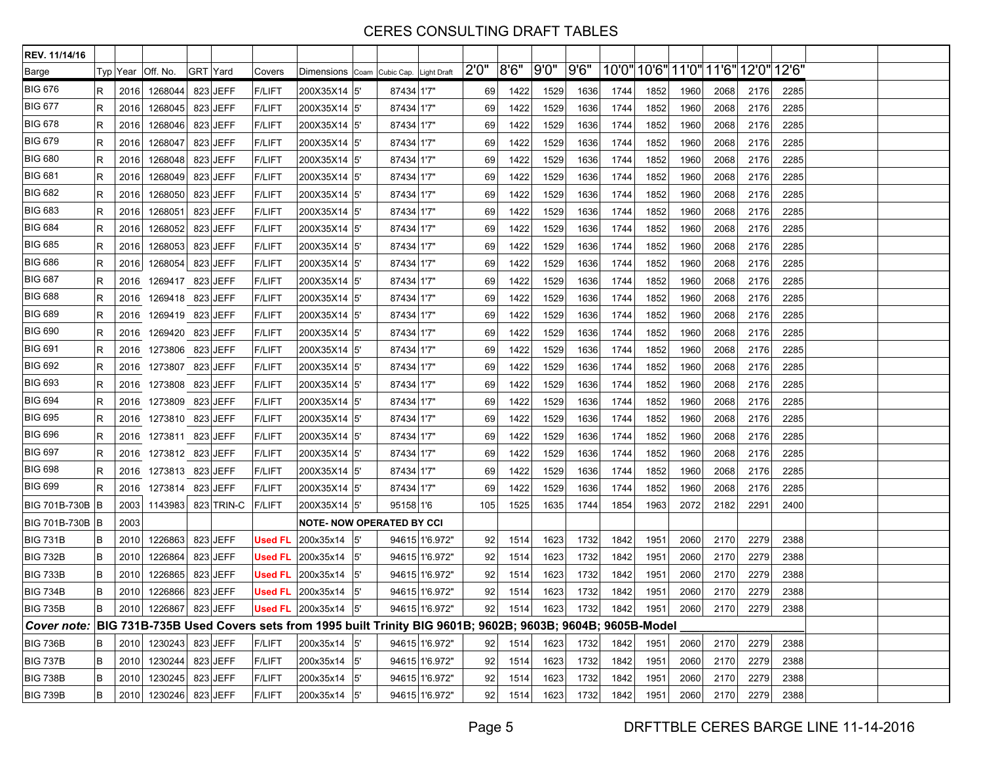| REV. 11/14/16                                                                                                  |    |      |                     |          |            |                |                                                   |     |            |                |                 |       |      |                                                 |      |      |      |                                     |      |      |  |
|----------------------------------------------------------------------------------------------------------------|----|------|---------------------|----------|------------|----------------|---------------------------------------------------|-----|------------|----------------|-----------------|-------|------|-------------------------------------------------|------|------|------|-------------------------------------|------|------|--|
| Barge                                                                                                          |    |      | Typ Year   Off. No. | GRT Yard |            | Covers         | Dimensions Coam Cubic Cap. Light Draft            |     |            |                | 2'0''           | 8'6'' | 9'0" | 9'6''                                           |      |      |      | 10'0" 10'6" 11'0" 11'6" 12'0" 12'6" |      |      |  |
| <b>BIG 676</b>                                                                                                 | R  | 2016 | 1268044             |          | 823 JEFF   | <b>F/LIFT</b>  | 200X35X14 5                                       |     | 87434 1'7" |                | 69              | 1422  | 1529 | 1636                                            | 1744 | 1852 | 1960 | 2068                                | 2176 | 2285 |  |
| <b>BIG 677</b>                                                                                                 | R  | 2016 | 1268045             |          | 823 JEFF   | <b>F/LIFT</b>  | 200X35X14 5'                                      |     | 87434 1'7" |                | 69              | 1422  | 1529 | 1636                                            | 1744 | 1852 | 1960 | 2068                                | 2176 | 2285 |  |
| <b>BIG 678</b>                                                                                                 | R  | 2016 | 1268046             |          | 823 JEFF   | <b>F/LIFT</b>  | 200X35X14 5                                       |     | 87434 1'7" |                | 69              | 1422  | 1529 | 1636                                            | 1744 | 1852 | 1960 | 2068                                | 2176 | 2285 |  |
| <b>BIG 679</b>                                                                                                 | R  | 2016 | 1268047             |          | 823 JEFF   | <b>F/LIFT</b>  | 200X35X14 5                                       |     | 87434 1'7" |                | 69              | 1422  | 1529 | 1636                                            | 1744 | 1852 | 1960 | 2068                                | 2176 | 2285 |  |
| <b>BIG 680</b>                                                                                                 | R  | 2016 | 1268048             |          | 823 JEFF   | <b>F/LIFT</b>  | 200X35X14 5                                       |     | 87434 1'7" |                | 69              | 1422  | 1529 | 1636                                            | 1744 | 1852 | 1960 | 2068                                | 2176 | 2285 |  |
| <b>BIG 681</b>                                                                                                 | R  | 2016 | 1268049             |          | 823 JEFF   | <b>F/LIFT</b>  | 200X35X14 5'                                      |     | 87434 1'7" |                | 69              | 1422  | 1529 | 1636                                            | 1744 | 1852 | 1960 | 2068                                | 2176 | 2285 |  |
| <b>BIG 682</b>                                                                                                 | R  | 2016 | 1268050             |          | 823 JEFF   | <b>F/LIFT</b>  | 200X35X14 5                                       |     | 87434 1'7" |                | 69              | 1422  | 1529 | 1636                                            | 1744 | 1852 | 1960 | 2068                                | 2176 | 2285 |  |
| <b>BIG 683</b>                                                                                                 | R  | 2016 | 1268051             |          | 823 JEFF   | <b>F/LIFT</b>  | 200X35X14 5                                       |     | 87434 1'7" |                | 69              | 1422  | 1529 | 1636                                            | 1744 | 1852 | 1960 | 2068                                | 2176 | 2285 |  |
| <b>BIG 684</b>                                                                                                 | R  | 2016 | 1268052             |          | 823 JEFF   | <b>F/LIFT</b>  | 200X35X14 5                                       |     | 87434 1'7" |                | 69              | 1422  | 1529 | 1636                                            | 1744 | 1852 | 1960 | 2068                                | 2176 | 2285 |  |
| <b>BIG 685</b>                                                                                                 | R  | 2016 | 1268053             |          | 823 JEFF   | <b>F/LIFT</b>  | 200X35X14 5                                       |     | 87434 1'7" |                | 69              | 1422  | 1529 | 1636                                            | 1744 | 1852 | 1960 | 2068                                | 2176 | 2285 |  |
| <b>BIG 686</b>                                                                                                 | R  | 2016 | 1268054             |          | 823 JEFF   | <b>F/LIFT</b>  | 200X35X14 5'                                      |     | 87434 1'7" |                | 69              | 1422  | 1529 | 1636                                            | 1744 | 1852 | 1960 | 2068                                | 2176 | 2285 |  |
| <b>BIG 687</b>                                                                                                 | R  | 2016 | 1269417 823 JEFF    |          |            | <b>F/LIFT</b>  | 200X35X14 5                                       |     | 87434 1'7" |                | 69              | 1422  | 1529 | 1636                                            | 1744 | 1852 | 1960 | 2068                                | 2176 | 2285 |  |
| <b>BIG 688</b>                                                                                                 | R  | 2016 | 1269418             |          | 823 JEFF   | <b>F/LIFT</b>  | 200X35X14 5                                       |     | 87434 1'7" |                | 69              | 1422  | 1529 | 1636                                            | 1744 | 1852 | 1960 | 2068                                | 2176 | 2285 |  |
| <b>BIG 689</b>                                                                                                 | R  | 2016 | 1269419 823 JEFF    |          |            | <b>F/LIFT</b>  | 200X35X14 5                                       |     | 87434 1'7" |                | 69              | 1422  | 1529 | 1636                                            | 1744 | 1852 | 1960 | 2068                                | 2176 | 2285 |  |
| <b>BIG 690</b>                                                                                                 | R  | 2016 | 1269420 823 JEFF    |          |            | <b>F/LIFT</b>  | 200X35X14 5                                       |     | 87434 1'7" |                | 69              | 1422  | 1529 | 1636                                            | 1744 | 1852 | 1960 | 2068                                | 2176 | 2285 |  |
| <b>BIG 691</b>                                                                                                 | R  | 2016 | 1273806 823 JEFF    |          |            | <b>F/LIFT</b>  | 200X35X14 5                                       |     | 87434 1'7" |                | 69              | 1422  | 1529 | 1636                                            | 1744 | 1852 | 1960 | 2068                                | 2176 | 2285 |  |
| <b>BIG 692</b>                                                                                                 | R  | 2016 | 1273807             |          | 823 JEFF   | <b>F/LIFT</b>  | 200X35X14 5                                       |     | 87434 1'7" |                | 69              | 1422  | 1529 | 1636                                            | 1744 | 1852 | 1960 | 2068                                | 2176 | 2285 |  |
| <b>BIG 693</b>                                                                                                 | R  | 2016 | 1273808 823 JEFF    |          |            | <b>F/LIFT</b>  | 200X35X14 5'                                      |     | 87434 1'7" |                | 69              | 1422  | 1529 | 1636                                            | 1744 | 1852 | 1960 | 2068                                | 2176 | 2285 |  |
| <b>BIG 694</b>                                                                                                 | R  | 2016 | 1273809             |          | 823 JEFF   | <b>F/LIFT</b>  | 200X35X14 5                                       |     | 87434 1'7" |                | 69              | 1422  | 1529 | 1636                                            | 1744 | 1852 | 1960 | 2068                                | 2176 | 2285 |  |
| <b>BIG 695</b>                                                                                                 | R  | 2016 | 1273810             |          | 823 JEFF   | <b>F/LIFT</b>  | 200X35X14 5                                       |     | 87434 1'7" |                | 69              | 1422  | 1529 | 1636                                            | 1744 | 1852 | 1960 | 2068                                | 2176 | 2285 |  |
| <b>BIG 696</b>                                                                                                 | R  | 2016 | 1273811 823 JEFF    |          |            | <b>F/LIFT</b>  | 200X35X14 5'                                      |     | 87434 1'7" |                | 69              | 1422  | 1529 | 1636                                            | 1744 | 1852 | 1960 | 2068                                | 2176 | 2285 |  |
| <b>BIG 697</b>                                                                                                 | R  | 2016 | 1273812 823 JEFF    |          |            | <b>F/LIFT</b>  | 200X35X14 5'                                      |     | 87434 1'7" |                | 69              | 1422  | 1529 | 1636                                            | 1744 | 1852 | 1960 | 2068                                | 2176 | 2285 |  |
| <b>BIG 698</b>                                                                                                 | R  | 2016 | 1273813             |          | 823 JEFF   | <b>F/LIFT</b>  | 200X35X14 5                                       |     | 87434 1'7" |                | 69              | 1422  | 1529 | 1636                                            | 1744 | 1852 | 1960 | 2068                                | 2176 | 2285 |  |
| <b>BIG 699</b>                                                                                                 | R  | 2016 | 1273814             |          | 823 JEFF   | <b>F/LIFT</b>  | 200X35X14 5                                       |     | 87434 1'7" |                | 69              | 1422  | 1529 | 1636                                            | 1744 | 1852 | 1960 | 2068                                | 2176 | 2285 |  |
| BIG 701B-730B                                                                                                  | IΒ | 2003 | 1143983             |          | 823 TRIN-C | <b>F/LIFT</b>  | 200X35X14 5                                       |     | 95158 1'6  |                | 105             | 1525  | 1635 | 1744                                            | 1854 | 1963 | 2072 | 2182                                | 229' | 2400 |  |
| BIG 701B-730B B                                                                                                |    | 2003 |                     |          |            |                | <b>NOTE-NOW OPERATED BY CCI</b>                   |     |            |                |                 |       |      |                                                 |      |      |      |                                     |      |      |  |
| <b>BIG 731B</b>                                                                                                | В  | 2010 | 1226863             |          | 823 JEFF   | <b>Used FL</b> | 200x35x14                                         | l5' |            | 94615 1'6.972" | 92              | 1514  | 1623 | 1732                                            | 1842 | 1951 | 2060 | 2170                                | 2279 | 2388 |  |
| <b>BIG 732B</b>                                                                                                | В  | 2010 | 1226864             |          | 823 JEFF   | <b>Used FL</b> | 200x35x14                                         | 5'  |            | 94615 1'6.972" | 92              | 1514  | 1623 | 1732                                            | 1842 | 1951 | 2060 | 2170                                | 2279 | 2388 |  |
| <b>BIG 733B</b>                                                                                                | в  | 2010 | 1226865             |          | 823 JEFF   | Used FL        | 200x35x14                                         | 5'  |            | 94615 1'6.972" | 92              | 1514  | 1623 | 1732                                            | 1842 | 1951 | 2060 | 2170                                | 2279 | 2388 |  |
| <b>BIG 734B</b>                                                                                                | B  | 2010 | 1226866             |          | 823 JEFF   | Used FL_       | 200x35x14                                         |     |            | 94615 1'6.972" | 92              | 1514  | 1623 | 1732                                            | 1842 | 1951 | 2060 | 2170                                | 2279 | 2388 |  |
| <b>BIG 735B</b>                                                                                                |    |      |                     |          |            |                | 2010 1226867 823 JEFF <b>Used FL</b> 200x35x14 5' |     |            | 94615 1'6.972" |                 |       |      | 92 1514 1623 1732 1842 1951 2060 2170 2279 2388 |      |      |      |                                     |      |      |  |
| Cover note: BIG 731B-735B Used Covers sets from 1995 built Trinity BIG 9601B; 9602B; 9603B; 9604B; 9605B-Model |    |      |                     |          |            |                |                                                   |     |            |                |                 |       |      |                                                 |      |      |      |                                     |      |      |  |
| <b>BIG 736B</b>                                                                                                | В  |      | 2010 1230243        |          | 823 JEFF   | <b>F/LIFT</b>  | 200x35x14 5'                                      |     |            | 94615 1'6.972" | 92              | 1514  | 1623 | 1732                                            | 1842 | 1951 | 2060 | 2170                                | 2279 | 2388 |  |
| <b>BIG 737B</b>                                                                                                | В  | 2010 | 1230244             |          | 823 JEFF   | F/LIFT         | 200x35x14 5'                                      |     |            | 94615 1'6.972" | 92              | 1514  | 1623 | 1732                                            | 1842 | 1951 | 2060 | 2170                                | 2279 | 2388 |  |
| <b>BIG 738B</b>                                                                                                | В  | 2010 | 1230245             |          | 823 JEFF   | <b>F/LIFT</b>  | 200x35x14 5'                                      |     |            | 94615 1'6.972" | 92 <sub>1</sub> | 1514  | 1623 | 1732                                            | 1842 | 1951 | 2060 | 2170                                | 2279 | 2388 |  |
| <b>BIG 739B</b>                                                                                                | В  |      | 2010 1230246        |          | 823 JEFF   | <b>F/LIFT</b>  | 200x35x14 5'                                      |     |            | 94615 1'6.972" | 92              | 1514  | 1623 | 1732                                            | 1842 | 1951 | 2060 | 2170                                | 2279 | 2388 |  |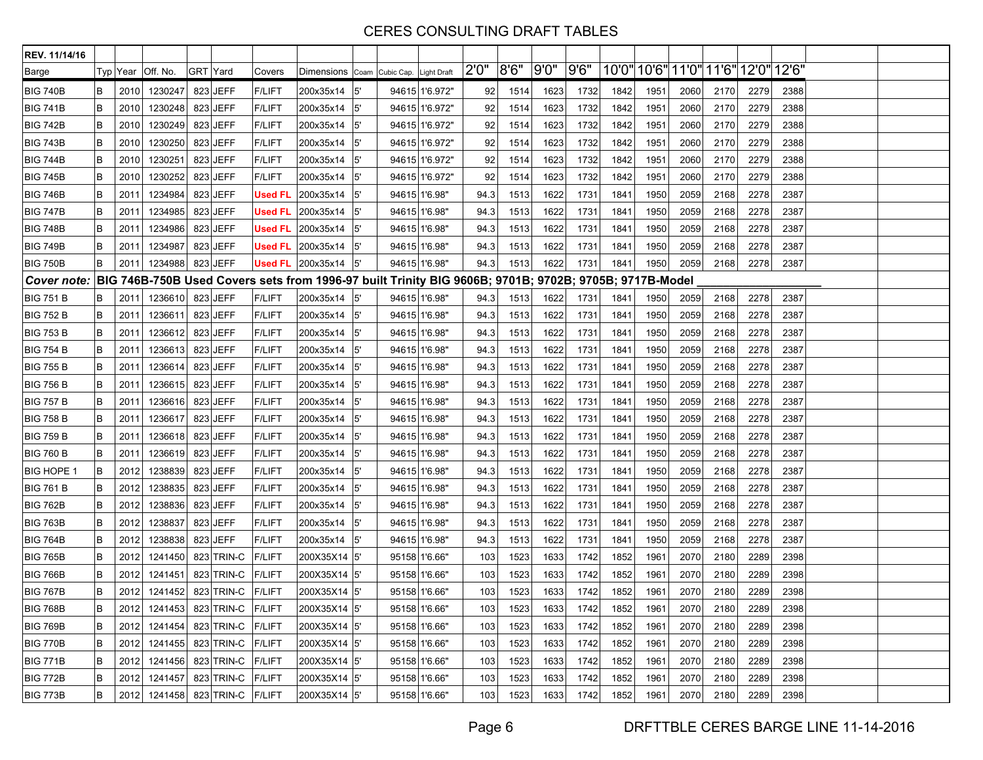| REV. 11/14/16      |        |      |                                |          |                   |                |                                                                                                       |               |                |       |       |       |      |      |                                     |      |      |      |      |  |
|--------------------|--------|------|--------------------------------|----------|-------------------|----------------|-------------------------------------------------------------------------------------------------------|---------------|----------------|-------|-------|-------|------|------|-------------------------------------|------|------|------|------|--|
| Barge              |        |      | Typ Year   Off. No.            | GRT Yard |                   | Covers         | Dimensions Coam Cubic Cap. Light Draft                                                                |               |                | 2'0'' | 8'6'' | 9'0'' | 9'6" |      | 10'0" 10'6" 11'0" 11'6" 12'0" 12'6" |      |      |      |      |  |
| <b>BIG 740B</b>    | B      | 2010 | 1230247                        |          | 823 JEFF          | <b>F/LIFT</b>  | 200x35x14                                                                                             | 5'            | 94615 1'6.972" | 92    | 1514  | 1623  | 1732 | 1842 | 1951                                | 2060 | 2170 | 2279 | 2388 |  |
| <b>BIG 741B</b>    | B      | 2010 | 1230248                        |          | 823 JEFF          | <b>F/LIFT</b>  | 200x35x14                                                                                             | 5'            | 94615 1'6.972" | 92    | 1514  | 1623  | 1732 | 1842 | 1951                                | 2060 | 2170 | 2279 | 2388 |  |
| <b>BIG 742B</b>    | B      | 2010 | 1230249                        |          | 823 JEFF          | <b>F/LIFT</b>  | 200x35x14                                                                                             | 5'            | 94615 1'6.972" | 92    | 1514  | 1623  | 1732 | 1842 | 1951                                | 2060 | 2170 | 2279 | 2388 |  |
| <b>BIG 743B</b>    | B      | 2010 | 1230250                        |          | 823 JEFF          | <b>F/LIFT</b>  | 200x35x14                                                                                             | 5'            | 94615 1'6.972" | 92    | 1514  | 1623  | 1732 | 1842 | 1951                                | 2060 | 2170 | 2279 | 2388 |  |
| <b>BIG 744B</b>    | B      | 2010 | 1230251                        |          | 823 JEFF          | <b>F/LIFT</b>  | 200x35x14                                                                                             | 5'            | 94615 1'6.972" | 92    | 1514  | 1623  | 1732 | 1842 | 1951                                | 2060 | 2170 | 2279 | 2388 |  |
| <b>BIG 745B</b>    | B      | 2010 | 1230252                        |          | 823 JEFF          | <b>F/LIFT</b>  | 200x35x14                                                                                             | 5'            | 94615 1'6.972" | 92    | 1514  | 1623  | 1732 | 1842 | 1951                                | 2060 | 2170 | 2279 | 2388 |  |
| <b>BIG 746B</b>    | B      | 2011 | 1234984                        |          | 823 JEFF          | <b>Used FL</b> | 200x35x14                                                                                             | 5'            | 94615 1'6.98"  | 94.3  | 1513  | 1622  | 1731 | 1841 | 1950                                | 2059 | 2168 | 2278 | 2387 |  |
| <b>BIG 747B</b>    | B      | 2011 | 1234985                        |          | 823 JEFF          | <b>Used FL</b> | 200x35x14                                                                                             | 5'            | 94615 1'6.98"  | 94.3  | 1513  | 1622  | 1731 | 1841 | 1950                                | 2059 | 2168 | 2278 | 2387 |  |
| <b>BIG 748B</b>    | B      | 2011 | 1234986                        |          | 823 JEFF          |                | Used FL $ 200x35x14 $                                                                                 | 5'            | 94615 1'6.98"  | 94.3  | 1513  | 1622  | 1731 | 1841 | 1950                                | 2059 | 2168 | 2278 | 2387 |  |
| <b>BIG 749B</b>    | B      | 2011 | 1234987                        |          | 823 JEFF          | <b>Used FL</b> | 200x35x14                                                                                             | 5'            | 94615 1'6.98"  | 94.3  | 1513  | 1622  | 1731 | 1841 | 1950                                | 2059 | 2168 | 2278 | 2387 |  |
| <b>BIG 750B</b>    | B      | 2011 | 1234988                        |          | 823 JEFF          |                | Used FL $ 200x35x14 $                                                                                 | <sup>5'</sup> | 94615 1'6.98"  | 94.3  | 1513  | 1622  | 1731 | 1841 | 1950                                | 2059 | 2168 | 2278 | 2387 |  |
| <b>Cover note:</b> |        |      |                                |          |                   |                | BIG 746B-750B Used Covers sets from 1996-97 built Trinity BIG 9606B; 9701B; 9702B; 9705B; 9717B-Model |               |                |       |       |       |      |      |                                     |      |      |      |      |  |
| <b>BIG 751 B</b>   | B      | 2011 | 1236610                        |          | 823 JEFF          | <b>F/LIFT</b>  | 200x35x14                                                                                             | l5'           | 94615 1'6.98"  | 94.3  | 1513  | 1622  | 1731 | 1841 | 1950                                | 2059 | 2168 | 2278 | 2387 |  |
| <b>BIG 752 B</b>   | B      | 2011 | 1236611                        |          | 823 JEFF          | <b>F/LIFT</b>  | 200x35x14                                                                                             | 5'            | 94615 1'6.98"  | 94.3  | 1513  | 1622  | 1731 | 1841 | 1950                                | 2059 | 2168 | 2278 | 2387 |  |
| <b>BIG 753 B</b>   | B      | 2011 | 1236612                        |          | 823 JEFF          | <b>F/LIFT</b>  | 200x35x14                                                                                             | 5'            | 94615 1'6.98"  | 94.3  | 1513  | 1622  | 1731 | 1841 | 1950                                | 2059 | 2168 | 2278 | 2387 |  |
| <b>BIG 754 B</b>   | B      | 2011 | 1236613                        |          | 823 JEFF          | <b>F/LIFT</b>  | 200x35x14                                                                                             | 5'            | 94615 1'6.98"  | 94.3  | 1513  | 1622  | 1731 | 1841 | 1950                                | 2059 | 2168 | 2278 | 2387 |  |
| <b>BIG 755 B</b>   | B      | 2011 | 1236614                        |          | 823 JEFF          | <b>F/LIFT</b>  | 200x35x14                                                                                             | l5'           | 94615 1'6.98"  | 94.3  | 1513  | 1622  | 1731 | 1841 | 1950                                | 2059 | 2168 | 2278 | 2387 |  |
| <b>BIG 756 B</b>   | B      | 2011 | 1236615                        |          | 823 JEFF          | <b>F/LIFT</b>  | 200x35x14                                                                                             | l5'           | 94615 1'6.98"  | 94.3  | 1513  | 1622  | 1731 | 1841 | 1950                                | 2059 | 2168 | 2278 | 2387 |  |
| <b>BIG 757 B</b>   | B      | 201' | 1236616                        |          | 823 JEFF          | <b>F/LIFT</b>  | 200x35x14                                                                                             | 5'            | 94615 1'6.98"  | 94.3  | 1513  | 1622  | 1731 | 1841 | 1950                                | 2059 | 2168 | 2278 | 2387 |  |
| <b>BIG 758 B</b>   | B      | 2011 | 1236617                        |          | 823 JEFF          | <b>F/LIFT</b>  | 200x35x14                                                                                             | 5'            | 94615 1'6.98"  | 94.3  | 1513  | 1622  | 1731 | 1841 | 1950                                | 2059 | 2168 | 2278 | 2387 |  |
| <b>BIG 759 B</b>   | B      | 201' | 1236618                        |          | 823 JEFF          | <b>F/LIFT</b>  | 200x35x14                                                                                             | 5'            | 94615 1'6.98"  | 94.3  | 1513  | 1622  | 1731 | 1841 | 1950                                | 2059 | 2168 | 2278 | 2387 |  |
| <b>BIG 760 B</b>   | B      | 2011 | 1236619                        |          | 823 JEFF          | <b>F/LIFT</b>  | 200x35x14                                                                                             | 5'            | 94615 1'6.98"  | 94.3  | 1513  | 1622  | 1731 | 1841 | 1950                                | 2059 | 2168 | 2278 | 2387 |  |
| <b>BIG HOPE 1</b>  | $\,$ B | 2012 | 1238839                        |          | 823 JEFF          | <b>F/LIFT</b>  | 200x35x14                                                                                             | l5'           | 94615 1'6.98"  | 94.3  | 1513  | 1622  | 1731 | 1841 | 1950                                | 2059 | 2168 | 2278 | 2387 |  |
| <b>BIG 761 B</b>   | B      | 2012 | 1238835                        |          | 823 JEFF          | <b>F/LIFT</b>  | 200x35x14                                                                                             | 5'            | 94615 1'6.98"  | 94.3  | 1513  | 1622  | 1731 | 1841 | 1950                                | 2059 | 2168 | 2278 | 2387 |  |
| <b>BIG 762B</b>    | B      | 2012 | 1238836                        |          | 823 JEFF          | <b>F/LIFT</b>  | 200x35x14                                                                                             | 5'            | 94615 1'6.98"  | 94.3  | 1513  | 1622  | 1731 | 1841 | 1950                                | 2059 | 2168 | 2278 | 2387 |  |
| <b>BIG 763B</b>    | B      | 2012 | 1238837                        |          | 823 JEFF          | <b>F/LIFT</b>  | 200x35x14                                                                                             | 5'            | 94615 1'6.98"  | 94.3  | 1513  | 1622  | 1731 | 1841 | 1950                                | 2059 | 2168 | 2278 | 2387 |  |
| <b>BIG 764B</b>    | B      | 2012 | 1238838                        |          | 823 JEFF          | <b>F/LIFT</b>  | 200x35x14                                                                                             | $5^{\prime}$  | 94615 1'6.98"  | 94.3  | 1513  | 1622  | 1731 | 1841 | 1950                                | 2059 | 2168 | 2278 | 2387 |  |
| <b>BIG 765B</b>    | B      | 2012 | 1241450                        |          | 823 TRIN-C        | <b>F/LIFT</b>  | 200X35X14 5                                                                                           |               | 95158 1'6.66"  | 103   | 1523  | 1633  | 1742 | 1852 | 1961                                | 2070 | 2180 | 2289 | 2398 |  |
| <b>BIG 766B</b>    | B      | 2012 | 1241451                        |          | 823 TRIN-C        | <b>F/LIFT</b>  | 200X35X14 5                                                                                           |               | 95158 1'6.66"  | 103   | 1523  | 1633  | 1742 | 1852 | 1961                                | 2070 | 2180 | 2289 | 2398 |  |
| <b>BIG 767B</b>    | B      | 2012 | 1241452                        |          | 823 TRIN-C        | <b>F/LIFT</b>  | 200X35X14 5                                                                                           |               | 95158 1'6.66"  | 103   | 1523  | 1633  | 1742 | 1852 | 1961                                | 2070 | 2180 | 2289 | 2398 |  |
| <b>BIG 768B</b>    | B      |      | 2012 1241453 823 TRIN-C F/LIFT |          |                   |                | 200X35X14 5                                                                                           |               | 95158 1'6.66"  | 103   | 1523  | 1633  | 1742 | 1852 | 1961                                | 2070 | 2180 | 2289 | 2398 |  |
| <b>BIG 769B</b>    | B      |      | 2012 1241454                   |          | 823 TRIN-C F/LIFT |                | 200X35X14 5'                                                                                          |               | 95158 1'6.66"  | 103   | 1523  | 1633  | 1742 | 1852 | 1961                                | 2070 | 2180 | 2289 | 2398 |  |
| <b>BIG 770B</b>    | B      | 2012 | 1241455                        |          | 823 TRIN-C F/LIFT |                | 200X35X14 5'                                                                                          |               | 95158 1'6.66"  | 103   | 1523  | 1633  | 1742 | 1852 | 1961                                | 2070 | 2180 | 2289 | 2398 |  |
| <b>BIG 771B</b>    | B      | 2012 | 1241456                        |          | 823 TRIN-C F/LIFT |                | 200X35X14 5'                                                                                          |               | 95158 1'6.66"  | 103   | 1523  | 1633  | 1742 | 1852 | 1961                                | 2070 | 2180 | 2289 | 2398 |  |
| <b>BIG 772B</b>    | B      | 2012 | 1241457                        |          | 823 TRIN-C F/LIFT |                | 200X35X14 5'                                                                                          |               | 95158 1'6.66"  | 103   | 1523  | 1633  | 1742 | 1852 | 1961                                | 2070 | 2180 | 2289 | 2398 |  |
| <b>BIG 773B</b>    | B      |      | 2012 1241458                   |          | 823 TRIN-C F/LIFT |                | 200X35X14 5'                                                                                          |               | 95158 1'6.66"  | 103   | 1523  | 1633  | 1742 | 1852 | 1961                                | 2070 | 2180 | 2289 | 2398 |  |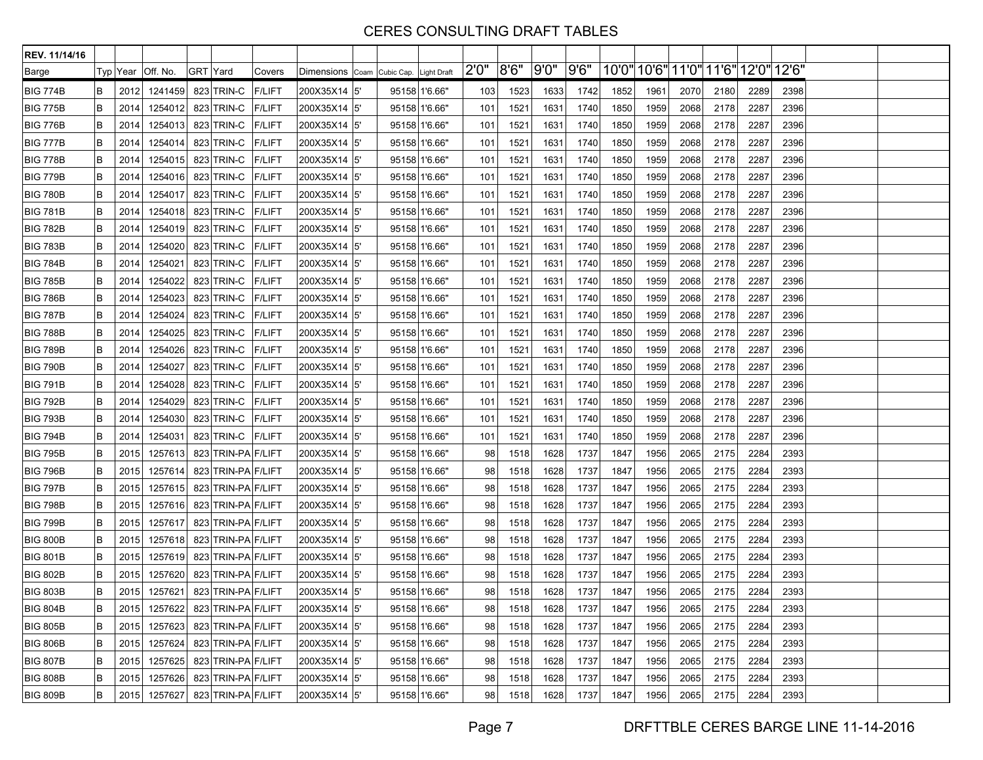| REV. 11/14/16   |   |          |              |                    |               |                                        |     |               |       |       |      |      |      |                                     |      |      |      |      |  |
|-----------------|---|----------|--------------|--------------------|---------------|----------------------------------------|-----|---------------|-------|-------|------|------|------|-------------------------------------|------|------|------|------|--|
| Barge           |   | Typ Year | Off. No.     | <b>GRT Yard</b>    | Covers        | Dimensions Coam Cubic Cap. Light Draft |     |               | 2'0'' | 8'6'' | 9'0" | 9'6" |      | 10'0" 10'6" 11'0" 11'6" 12'0" 12'6" |      |      |      |      |  |
| <b>BIG 774B</b> | B | 2012     | 1241459      | 823 TRIN-C         | <b>F/LIFT</b> | 200X35X14 5'                           |     | 95158 1'6.66" | 103   | 1523  | 1633 | 1742 | 1852 | 1961                                | 2070 | 2180 | 2289 | 2398 |  |
| <b>BIG 775B</b> | B | 2014     | 1254012      | 823 TRIN-C         | <b>F/LIFT</b> | 200X35X14 5                            |     | 95158 1'6.66" | 101   | 1521  | 1631 | 1740 | 1850 | 1959                                | 2068 | 2178 | 2287 | 2396 |  |
| <b>BIG 776B</b> | B | 2014     | 1254013      | 823 TRIN-C         | <b>F/LIFT</b> | 200X35X14 5                            |     | 95158 1'6.66" | 101   | 1521  | 1631 | 1740 | 1850 | 1959                                | 2068 | 2178 | 2287 | 2396 |  |
| <b>BIG 777B</b> | B | 2014     | 1254014      | 823 TRIN-C         | <b>F/LIFT</b> | 200X35X14 5                            |     | 95158 1'6.66" | 101   | 1521  | 1631 | 1740 | 1850 | 1959                                | 2068 | 2178 | 2287 | 2396 |  |
| <b>BIG 778B</b> | B | 2014     | 1254015      | 823 TRIN-C         | <b>F/LIFT</b> | 200X35X14 5'                           |     | 95158 1'6.66" | 101   | 1521  | 1631 | 1740 | 1850 | 1959                                | 2068 | 2178 | 2287 | 2396 |  |
| <b>BIG 779B</b> | B | 2014     | 1254016      | 823 TRIN-C         | <b>F/LIFT</b> | 200X35X14  5'                          |     | 95158 1'6.66" | 101   | 1521  | 1631 | 1740 | 1850 | 1959                                | 2068 | 2178 | 2287 | 2396 |  |
| <b>BIG 780B</b> | B | 2014     | 1254017      | 823 TRIN-C         | <b>F/LIFT</b> | 200X35X14 5'                           |     | 95158 1'6.66" | 101   | 1521  | 1631 | 1740 | 1850 | 1959                                | 2068 | 2178 | 2287 | 2396 |  |
| <b>BIG 781B</b> | B | 2014     | 1254018      | 823 TRIN-C         | <b>F/LIFT</b> | 200X35X14  5'                          |     | 95158 1'6.66" | 101   | 1521  | 1631 | 1740 | 1850 | 1959                                | 2068 | 2178 | 2287 | 2396 |  |
| <b>BIG 782B</b> | B | 2014     | 1254019      | 823 TRIN-C         | <b>F/LIFT</b> | 200X35X14 5                            |     | 95158 1'6.66" | 101   | 1521  | 1631 | 1740 | 1850 | 1959                                | 2068 | 2178 | 2287 | 2396 |  |
| <b>BIG 783B</b> | B | 2014     | 1254020      | 823 TRIN-C         | <b>F/LIFT</b> | 200X35X14 5                            |     | 95158 1'6.66" | 101   | 1521  | 1631 | 1740 | 1850 | 1959                                | 2068 | 2178 | 2287 | 2396 |  |
| <b>BIG 784B</b> | B | 2014     | 1254021      | 823 TRIN-C         | <b>F/LIFT</b> | 200X35X14 5                            |     | 95158 1'6.66" | 101   | 1521  | 1631 | 1740 | 1850 | 1959                                | 2068 | 2178 | 2287 | 2396 |  |
| <b>BIG 785B</b> | B | 2014     | 1254022      | 823 TRIN-C         | <b>F/LIFT</b> | 200X35X14 5'                           |     | 95158 1'6.66" | 101   | 1521  | 1631 | 1740 | 1850 | 1959                                | 2068 | 2178 | 2287 | 2396 |  |
| <b>BIG 786B</b> | B | 2014     | 1254023      | 823 TRIN-C         | <b>F/LIFT</b> | 200X35X14 5                            |     | 95158 1'6.66" | 101   | 1521  | 1631 | 1740 | 1850 | 1959                                | 2068 | 2178 | 2287 | 2396 |  |
| <b>BIG 787B</b> | B | 2014     | 1254024      | 823 TRIN-C         | <b>F/LIFT</b> | 200X35X14  5'                          |     | 95158 1'6.66" | 101   | 1521  | 1631 | 1740 | 1850 | 1959                                | 2068 | 2178 | 2287 | 2396 |  |
| <b>BIG 788B</b> | B | 2014     | 1254025      | 823 TRIN-C         | <b>F/LIFT</b> | 200X35X14 5'                           |     | 95158 1'6.66" | 101   | 1521  | 1631 | 1740 | 1850 | 1959                                | 2068 | 2178 | 2287 | 2396 |  |
| <b>BIG 789B</b> | B | 2014     | 1254026      | 823 TRIN-C         | <b>F/LIFT</b> | 200X35X14 5                            |     | 95158 1'6.66" | 101   | 1521  | 1631 | 1740 | 1850 | 1959                                | 2068 | 2178 | 2287 | 2396 |  |
| <b>BIG 790B</b> | B | 2014     | 1254027      | 823 TRIN-C         | <b>F/LIFT</b> | 200X35X14  5'                          |     | 95158 1'6.66" | 101   | 1521  | 1631 | 1740 | 1850 | 1959                                | 2068 | 2178 | 2287 | 2396 |  |
| <b>BIG 791B</b> | B | 2014     | 1254028      | 823 TRIN-C         | <b>F/LIFT</b> | 200X35X14 5'                           |     | 95158 1'6.66" | 101   | 1521  | 1631 | 1740 | 1850 | 1959                                | 2068 | 2178 | 2287 | 2396 |  |
| <b>BIG 792B</b> | B | 2014     | 1254029      | 823 TRIN-C         | <b>F/LIFT</b> | 200X35X14 5'                           |     | 95158 1'6.66" | 101   | 1521  | 1631 | 1740 | 1850 | 1959                                | 2068 | 2178 | 2287 | 2396 |  |
| <b>BIG 793B</b> | B | 2014     | 1254030      | 823 TRIN-C         | <b>F/LIFT</b> | 200X35X14 5                            |     | 95158 1'6.66" | 101   | 1521  | 1631 | 1740 | 1850 | 1959                                | 2068 | 2178 | 2287 | 2396 |  |
| <b>BIG 794B</b> | B | 2014     | 1254031      | 823 TRIN-C         | <b>F/LIFT</b> | 200X35X14 5'                           |     | 95158 1'6.66" | 101   | 1521  | 1631 | 1740 | 1850 | 1959                                | 2068 | 2178 | 2287 | 2396 |  |
| <b>BIG 795B</b> | B | 2015     | 1257613      | 823 TRIN-PA F/LIFT |               | 200X35X14 5                            |     | 95158 1'6.66" | 98    | 1518  | 1628 | 1737 | 1847 | 1956                                | 2065 | 2175 | 2284 | 2393 |  |
| <b>BIG 796B</b> | B | 2015     | 1257614      | 823 TRIN-PA F/LIFT |               | 200X35X14 5                            |     | 95158 1'6.66" | 98    | 1518  | 1628 | 1737 | 1847 | 1956                                | 2065 | 2175 | 2284 | 2393 |  |
| <b>BIG 797B</b> | B | 2015     | 1257615      | 823 TRIN-PA F/LIFT |               | 200X35X14 5'                           |     | 95158 1'6.66" | 98    | 1518  | 1628 | 1737 | 1847 | 1956                                | 2065 | 2175 | 2284 | 2393 |  |
| <b>BIG 798B</b> | B | 2015     | 1257616      | 823 TRIN-PA F/LIFT |               | 200X35X14 5'                           |     | 95158 1'6.66" | 98    | 1518  | 1628 | 1737 | 1847 | 1956                                | 2065 | 2175 | 2284 | 2393 |  |
| <b>BIG 799B</b> | B | 2015     | 1257617      | 823 TRIN-PA F/LIFT |               | 200X35X14  5'                          |     | 95158 1'6.66" | 98    | 1518  | 1628 | 1737 | 1847 | 1956                                | 2065 | 2175 | 2284 | 2393 |  |
| <b>BIG 800B</b> | B | 2015     | 1257618      | 823 TRIN-PA F/LIFT |               | 200X35X14 5                            |     | 95158 1'6.66" | 98    | 1518  | 1628 | 1737 | 1847 | 1956                                | 2065 | 2175 | 2284 | 2393 |  |
| <b>BIG 801B</b> | B | 2015     | 1257619      | 823 TRIN-PA F/LIFT |               | 200X35X14 5                            |     | 95158 1'6.66" | 98    | 1518  | 1628 | 1737 | 1847 | 1956                                | 2065 | 2175 | 2284 | 2393 |  |
| <b>BIG 802B</b> | B | 2015     | 1257620      | 823 TRIN-PA F/LIFT |               | 200X35X14                              | l5' | 95158 1'6.66" | 98    | 1518  | 1628 | 1737 | 1847 | 1956                                | 2065 | 2175 | 2284 | 2393 |  |
| <b>BIG 803B</b> | B | 2015     | 1257621      | 823 TRIN-PA F/LIFT |               | 200X35X14  5'                          |     | 95158 1'6.66" | 98    | 1518  | 1628 | 1737 | 1847 | 1956                                | 2065 | 2175 | 2284 | 2393 |  |
| <b>BIG 804B</b> | B |          | 2015 1257622 | 823 TRIN-PA F/LIFT |               | 200X35X14 5                            |     | 95158 1'6.66" | 98    | 1518  | 1628 | 1737 | 1847 | 1956                                | 2065 | 2175 | 2284 | 2393 |  |
| <b>BIG 805B</b> | B | 2015     | 1257623      | 823 TRIN-PA F/LIFT |               | 200X35X14 5'                           |     | 95158 1'6.66" | 98    | 1518  | 1628 | 1737 | 1847 | 1956                                | 2065 | 2175 | 2284 | 2393 |  |
| <b>BIG 806B</b> | B | 2015     | 1257624      | 823 TRIN-PA F/LIFT |               | 200X35X14 5'                           |     | 95158 1'6.66" | 98    | 1518  | 1628 | 1737 | 1847 | 1956                                | 2065 | 2175 | 2284 | 2393 |  |
| <b>BIG 807B</b> | B | 2015     | 1257625      | 823 TRIN-PA F/LIFT |               | 200X35X14 5'                           |     | 95158 1'6.66" | 98    | 1518  | 1628 | 1737 | 1847 | 1956                                | 2065 | 2175 | 2284 | 2393 |  |
| <b>BIG 808B</b> | B | 2015     | 1257626      | 823 TRIN-PA F/LIFT |               | 200X35X14 5'                           |     | 95158 1'6.66" | 98    | 1518  | 1628 | 1737 | 1847 | 1956                                | 2065 | 2175 | 2284 | 2393 |  |
| <b>BIG 809B</b> | B | 2015     | 1257627      | 823 TRIN-PA F/LIFT |               | 200X35X14 5'                           |     | 95158 1'6.66" | 98    | 1518  | 1628 | 1737 | 1847 | 1956                                | 2065 | 2175 | 2284 | 2393 |  |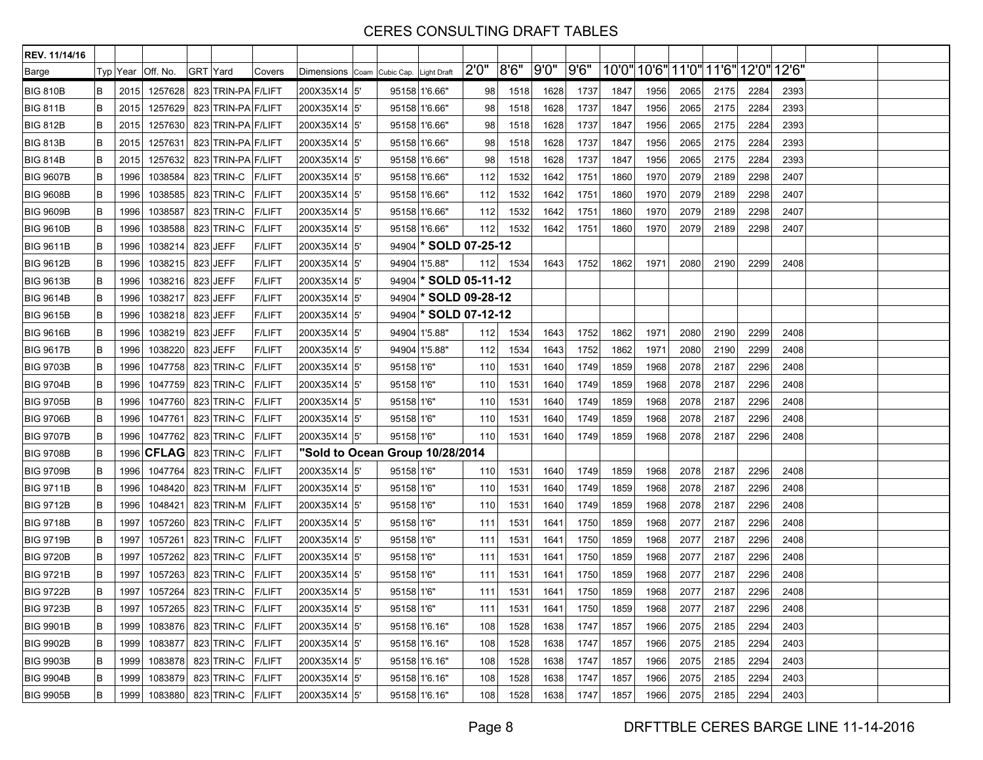| REV. 11/14/16    |        |          |              |                           |               |                                        |     |                                 |               |       |       |      |      |      |      |                                     |      |      |  |
|------------------|--------|----------|--------------|---------------------------|---------------|----------------------------------------|-----|---------------------------------|---------------|-------|-------|------|------|------|------|-------------------------------------|------|------|--|
| Barge            |        | Typ Year | Off. No.     | GRT Yard                  | Covers        | Dimensions Coam Cubic Cap. Light Draft |     |                                 | 2'0''         | 8'6'' | 9'0'' | 9'6" |      |      |      | 10'0" 10'6" 11'0" 11'6" 12'0" 12'6" |      |      |  |
| <b>BIG 810B</b>  | B      | 2015     | 1257628      | 823 TRIN-PA F/LIFT        |               | 200X35X14 5'                           |     | 95158 1'6.66"                   | 98            | 1518  | 1628  | 1737 | 1847 | 1956 | 2065 | 2175                                | 2284 | 2393 |  |
| <b>BIG 811B</b>  | B      | 2015     | 1257629      | 823 TRIN-PA F/LIFT        |               | 200X35X14  5'                          |     | 95158 1'6.66"                   | 98            | 1518  | 1628  | 1737 | 1847 | 1956 | 2065 | 2175                                | 2284 | 2393 |  |
| <b>BIG 812B</b>  | B      | 2015     | 1257630      | 823 TRIN-PA F/LIFT        |               | 200X35X14  5'                          |     | 95158 1'6.66"                   | 98            | 1518  | 1628  | 1737 | 1847 | 1956 | 2065 | 2175                                | 2284 | 2393 |  |
| <b>BIG 813B</b>  | B      | 2015     | 1257631      | 823 TRIN-PA F/LIFT        |               | 200X35X14  5'                          |     | 95158 1'6.66"                   | 98            | 1518  | 1628  | 1737 | 1847 | 1956 | 2065 | 2175                                | 2284 | 2393 |  |
| <b>BIG 814B</b>  | B      | 2015     | 1257632      | 823 TRIN-PA F/LIFT        |               | 200X35X14  5'                          |     | 95158 1'6.66"                   | 98            | 1518  | 1628  | 1737 | 1847 | 1956 | 2065 | 2175                                | 2284 | 2393 |  |
| <b>BIG 9607B</b> | B      | 1996     | 1038584      | 823 TRIN-C                | <b>F/LIFT</b> | 200X35X14  5'                          |     | 95158 1'6.66"                   | 112           | 1532  | 1642  | 1751 | 1860 | 1970 | 2079 | 2189                                | 2298 | 2407 |  |
| <b>BIG 9608B</b> | B      | 1996     | 1038585      | 823 TRIN-C                | <b>F/LIFT</b> | 200X35X14  5'                          |     | 95158 1'6.66"                   | 112           | 1532  | 1642  | 1751 | 1860 | 1970 | 2079 | 2189                                | 2298 | 2407 |  |
| <b>BIG 9609B</b> | B      | 1996     | 1038587      | 823 TRIN-C                | <b>F/LIFT</b> | 200X35X14 5'                           |     | 95158 1'6.66"                   | 112           | 1532  | 1642  | 1751 | 1860 | 1970 | 2079 | 2189                                | 2298 | 2407 |  |
| <b>BIG 9610B</b> | B      | 1996     | 1038588      | 823 TRIN-C                | <b>F/LIFT</b> | 200X35X14 5'                           |     | 95158 1'6.66"                   | 112           | 1532  | 1642  | 1751 | 1860 | 1970 | 2079 | 2189                                | 2298 | 2407 |  |
| <b>BIG 9611B</b> | B      | 1996     | 1038214      | 823 JEFF                  | <b>F/LIFT</b> | 200X35X14 5'                           |     | 94904 <b>SOLD 07-25-12</b>      |               |       |       |      |      |      |      |                                     |      |      |  |
| <b>BIG 9612B</b> | B      | 1996     | 1038215      | 823 JEFF                  | <b>F/LIFT</b> | 200X35X14  5'                          |     | 94904 1'5.88"                   | 112           | 1534  | 1643  | 1752 | 1862 | 1971 | 2080 | 2190                                | 2299 | 2408 |  |
| <b>BIG 9613B</b> | B      | 1996     | 1038216      | 823 JEFF                  | <b>F/LIFT</b> | 200X35X14  5'                          |     | $94904$ <sup>*</sup>            | SOLD 05-11-12 |       |       |      |      |      |      |                                     |      |      |  |
| <b>BIG 9614B</b> | $\,$ B | 1996     | 1038217      | 823 JEFF                  | <b>F/LIFT</b> | 200X35X14  5'                          |     | 94904                           | SOLD 09-28-12 |       |       |      |      |      |      |                                     |      |      |  |
| <b>BIG 9615B</b> | B      | 1996     | 1038218      | 823 JEFF                  | <b>F/LIFT</b> | 200X35X14  5'                          |     | 94904 <b>SOLD 07-12-12</b>      |               |       |       |      |      |      |      |                                     |      |      |  |
| <b>BIG 9616B</b> | B      | 1996     | 1038219      | 823 JEFF                  | <b>F/LIFT</b> | 200X35X14  5'                          |     | 94904 1'5.88"                   | 112           | 1534  | 1643  | 1752 | 1862 | 1971 | 2080 | 2190                                | 2299 | 2408 |  |
| <b>BIG 9617B</b> | $\,$ B | 1996     | 1038220      | 823 JEFF                  | <b>F/LIFT</b> | 200X35X14 5'                           |     | 94904 1'5.88"                   | 112           | 1534  | 1643  | 1752 | 1862 | 1971 | 2080 | 2190                                | 2299 | 2408 |  |
| <b>BIG 9703B</b> | B      | 1996     | 1047758      | 823 TRIN-C                | <b>F/LIFT</b> | 200X35X14  5'                          |     | 95158 1'6"                      | 110           | 1531  | 1640  | 1749 | 1859 | 1968 | 2078 | 2187                                | 2296 | 2408 |  |
| <b>BIG 9704B</b> | B      | 1996     | 1047759      | 823 TRIN-C                | <b>F/LIFT</b> | 200X35X14  5'                          |     | 95158 1'6"                      | 110           | 1531  | 1640  | 1749 | 1859 | 1968 | 2078 | 2187                                | 2296 | 2408 |  |
| <b>BIG 9705B</b> | B      | 1996     | 1047760      | 823 TRIN-C                | <b>F/LIFT</b> | 200X35X14 5'                           |     | 95158 1'6"                      | 110           | 1531  | 1640  | 1749 | 1859 | 1968 | 2078 | 2187                                | 2296 | 2408 |  |
| <b>BIG 9706B</b> | B      | 1996     | 1047761      | 823 TRIN-C                | <b>F/LIFT</b> | 200X35X14  5'                          |     | 95158 1'6"                      | 110           | 1531  | 1640  | 1749 | 1859 | 1968 | 2078 | 2187                                | 2296 | 2408 |  |
| <b>BIG 9707B</b> | B      | 1996     | 1047762      | 823 TRIN-C                | <b>F/LIFT</b> | 200X35X14  5'                          |     | 95158 1'6"                      | 110           | 1531  | 1640  | 1749 | 1859 | 1968 | 2078 | 2187                                | 2296 | 2408 |  |
| <b>BIG 9708B</b> | B      | 1996     | <b>CFLAG</b> | 823 TRIN-C                | <b>F/LIFT</b> |                                        |     | "Sold to Ocean Group 10/28/2014 |               |       |       |      |      |      |      |                                     |      |      |  |
| <b>BIG 9709B</b> | $\,$ B | 1996     | 1047764      | 823 TRIN-C                | <b>F/LIFT</b> | 200X35X14 5'                           |     | 95158 1'6"                      | 110           | 1531  | 1640  | 1749 | 1859 | 1968 | 2078 | 2187                                | 2296 | 2408 |  |
| <b>BIG 9711B</b> | B      | 1996     | 1048420      | 823 TRIN-M                | <b>F/LIFT</b> | 200X35X14  5'                          |     | 95158 1'6"                      | 110           | 1531  | 1640  | 1749 | 1859 | 1968 | 2078 | 2187                                | 2296 | 2408 |  |
| <b>BIG 9712B</b> | B      | 1996     | 1048421      | 823 TRIN-M                | <b>F/LIFT</b> | 200X35X14 5'                           |     | 95158 1'6"                      | 110           | 1531  | 1640  | 1749 | 1859 | 1968 | 2078 | 2187                                | 2296 | 2408 |  |
| <b>BIG 9718B</b> | B      | 1997     | 1057260      | 823 TRIN-C                | <b>F/LIFT</b> | 200X35X14  5'                          |     | 95158 1'6"                      | 111           | 1531  | 1641  | 1750 | 1859 | 1968 | 2077 | 2187                                | 2296 | 2408 |  |
| <b>BIG 9719B</b> | B      | 1997     | 1057261      | 823 TRIN-C                | <b>F/LIFT</b> | 200X35X14  5'                          |     | 95158 1'6'                      | 111           | 1531  | 1641  | 1750 | 1859 | 1968 | 2077 | 2187                                | 2296 | 2408 |  |
| <b>BIG 9720B</b> | B      | 1997     | 1057262      | 823 TRIN-C                | <b>F/LIFT</b> | 200X35X14 5'                           |     | 95158 1'6"                      | 111           | 1531  | 1641  | 1750 | 1859 | 1968 | 2077 | 2187                                | 2296 | 2408 |  |
| <b>BIG 9721B</b> | B      | 1997     | 1057263      | 823 TRIN-C                | <b>F/LIFT</b> | 200X35X14                              | 15' | 95158 1'6"                      | 111           | 1531  | 1641  | 1750 | 1859 | 1968 | 2077 | 2187                                | 2296 | 2408 |  |
| <b>BIG 9722B</b> | B      | 1997     | 1057264      | 823 TRIN-C                | <b>F/LIFT</b> | 200X35X14  5'                          |     | 95158 1'6"                      | 111           | 1531  | 1641  | 1750 | 1859 | 1968 | 2077 | 2187                                | 2296 | 2408 |  |
| <b>BIG 9723B</b> | B      | 1997     |              | 1057265 823 TRIN-C F/LIFT |               | 200X35X14 5                            |     | $95158$ 1'6"                    | 111           | 1531  | 1641  | 1750 | 1859 | 1968 | 2077 | 2187                                | 2296 | 2408 |  |
| <b>BIG 9901B</b> | B      | 1999     | 1083876      | 823 TRIN-C                | <b>F/LIFT</b> | 200X35X14 5'                           |     | 95158 1'6.16"                   | 108           | 1528  | 1638  | 1747 | 1857 | 1966 | 2075 | 2185                                | 2294 | 2403 |  |
| <b>BIG 9902B</b> | B      | 1999     | 1083877      | 823 TRIN-C                | <b>F/LIFT</b> | 200X35X14 5'                           |     | 95158 1'6.16"                   | 108           | 1528  | 1638  | 1747 | 1857 | 1966 | 2075 | 2185                                | 2294 | 2403 |  |
| <b>BIG 9903B</b> | B      | 1999     | 1083878      | 823 TRIN-C                | <b>F/LIFT</b> | 200X35X14 5'                           |     | 95158 1'6.16"                   | 108           | 1528  | 1638  | 1747 | 1857 | 1966 | 2075 | 2185                                | 2294 | 2403 |  |
| <b>BIG 9904B</b> | B      | 1999     | 1083879      | 823 TRIN-C                | <b>F/LIFT</b> | 200X35X14 5'                           |     | 95158 1'6.16"                   | 108           | 1528  | 1638  | 1747 | 1857 | 1966 | 2075 | 2185                                | 2294 | 2403 |  |
| <b>BIG 9905B</b> | B      | 1999     | 1083880      | 823 TRIN-C F/LIFT         |               | 200X35X14 5                            |     | 95158 1'6.16"                   | 108           | 1528  | 1638  | 1747 | 1857 | 1966 | 2075 | 2185                                | 2294 | 2403 |  |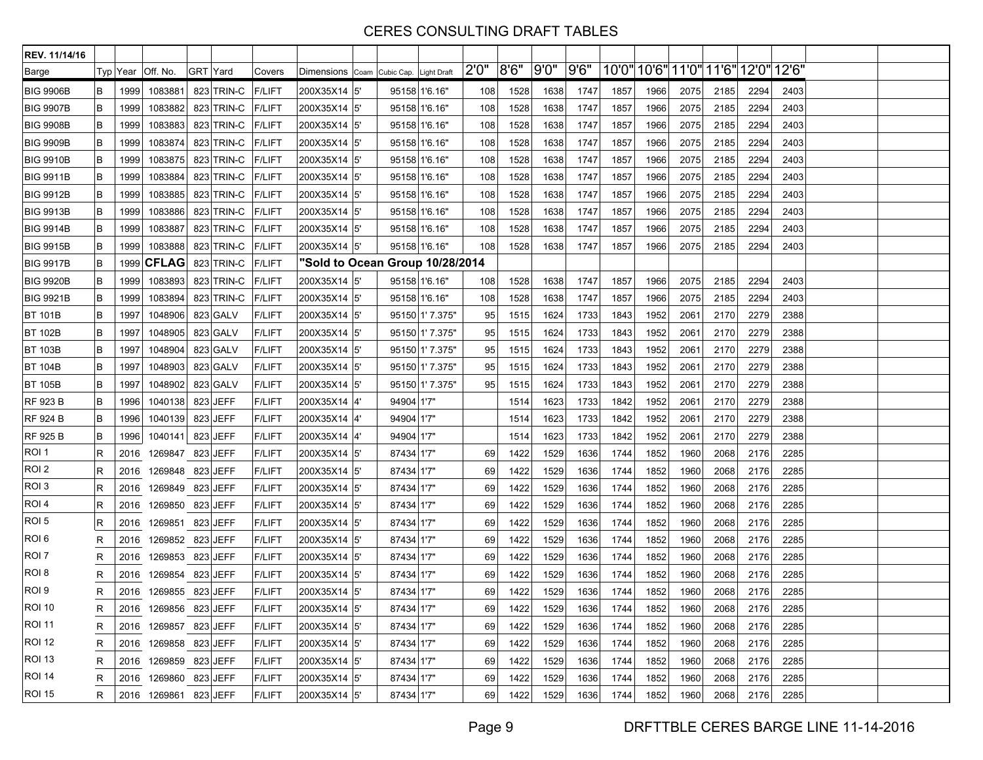| REV. 11/14/16    |   |      |                       |          |            |               |                                        |            |                 |       |       |      |      |      |      |      |      |                                     |      |  |  |
|------------------|---|------|-----------------------|----------|------------|---------------|----------------------------------------|------------|-----------------|-------|-------|------|------|------|------|------|------|-------------------------------------|------|--|--|
| Barge            |   |      | Typ Year Off. No.     | GRT Yard |            | Covers        | Dimensions Coam Cubic Cap. Light Draft |            |                 | 2'0'' | 8'6'' | 9'0" | 9'6" |      |      |      |      | 10'0" 10'6" 11'0" 11'6" 12'0" 12'6" |      |  |  |
| <b>BIG 9906B</b> | B | 1999 | 1083881               |          | 823 TRIN-C | <b>F/LIFT</b> | 200X35X14 5'                           |            | 95158 1'6.16"   | 108   | 1528  | 1638 | 1747 | 1857 | 1966 | 2075 | 2185 | 2294                                | 2403 |  |  |
| <b>BIG 9907B</b> | B | 1999 | 1083882               |          | 823 TRIN-C | <b>F/LIFT</b> | 200X35X14  5'                          |            | 95158 1'6.16"   | 108   | 1528  | 1638 | 1747 | 1857 | 1966 | 2075 | 2185 | 2294                                | 2403 |  |  |
| <b>BIG 9908B</b> | B | 1999 | 1083883               |          | 823 TRIN-C | <b>F/LIFT</b> | 200X35X14 5'                           |            | 95158 1'6.16"   | 108   | 1528  | 1638 | 1747 | 1857 | 1966 | 2075 | 2185 | 2294                                | 2403 |  |  |
| <b>BIG 9909B</b> | B | 1999 | 1083874               |          | 823 TRIN-C | <b>F/LIFT</b> | 200X35X14 5'                           |            | 95158 1'6.16"   | 108   | 1528  | 1638 | 1747 | 1857 | 1966 | 2075 | 2185 | 2294                                | 2403 |  |  |
| <b>BIG 9910B</b> | B | 1999 | 1083875               |          | 823 TRIN-C | <b>F/LIFT</b> | 200X35X14  5'                          |            | 95158 1'6.16"   | 108   | 1528  | 1638 | 1747 | 1857 | 1966 | 2075 | 2185 | 2294                                | 2403 |  |  |
| <b>BIG 9911B</b> | B | 1999 | 1083884               |          | 823 TRIN-C | <b>F/LIFT</b> | 200X35X14 5                            |            | 95158 1'6.16"   | 108   | 1528  | 1638 | 1747 | 1857 | 1966 | 2075 | 2185 | 2294                                | 2403 |  |  |
| <b>BIG 9912B</b> | B | 1999 | 1083885               |          | 823 TRIN-C | <b>F/LIFT</b> | 200X35X14 5                            |            | 95158 1'6.16"   | 108   | 1528  | 1638 | 1747 | 1857 | 1966 | 2075 | 2185 | 2294                                | 2403 |  |  |
| <b>BIG 9913B</b> | B | 1999 | 1083886               |          | 823 TRIN-C | <b>F/LIFT</b> | 200X35X14  5'                          |            | 95158 1'6.16"   | 108   | 1528  | 1638 | 1747 | 1857 | 1966 | 2075 | 2185 | 2294                                | 2403 |  |  |
| <b>BIG 9914B</b> | B | 1999 | 1083887               |          | 823 TRIN-C | <b>F/LIFT</b> | 200X35X14 5'                           |            | 95158 1'6.16"   | 108   | 1528  | 1638 | 1747 | 1857 | 1966 | 2075 | 2185 | 2294                                | 2403 |  |  |
| <b>BIG 9915B</b> | B | 1999 | 1083888               |          | 823 TRIN-C | <b>F/LIFT</b> | 200X35X14  5'                          |            | 95158 1'6.16"   | 108   | 1528  | 1638 | 1747 | 1857 | 1966 | 2075 | 2185 | 2294                                | 2403 |  |  |
| <b>BIG 9917B</b> | B | 1999 | $ $ CFLAG $ $         |          | 823 TRIN-C | <b>F/LIFT</b> | "Sold to Ocean Group 10/28/2014        |            |                 |       |       |      |      |      |      |      |      |                                     |      |  |  |
| <b>BIG 9920B</b> | B | 1999 | 1083893               |          | 823 TRIN-C | <b>F/LIFT</b> | 200X35X14 5'                           |            | 95158 1'6.16"   | 108   | 1528  | 1638 | 1747 | 1857 | 1966 | 2075 | 2185 | 2294                                | 2403 |  |  |
| <b>BIG 9921B</b> | B | 1999 | 1083894               |          | 823 TRIN-C | <b>F/LIFT</b> | 200X35X14 5'                           |            | 95158 1'6.16"   | 108   | 1528  | 1638 | 1747 | 1857 | 1966 | 2075 | 2185 | 2294                                | 2403 |  |  |
| <b>BT 101B</b>   | B | 1997 | 1048906               |          | 823 GALV   | <b>F/LIFT</b> | 200X35X14 5'                           |            | 95150 1' 7.375" | 95    | 1515  | 1624 | 1733 | 1843 | 1952 | 2061 | 2170 | 2279                                | 2388 |  |  |
| <b>BT 102B</b>   | B | 1997 | 1048905               |          | 823 GALV   | <b>F/LIFT</b> | 200X35X14  5'                          |            | 95150 1' 7.375" | 95    | 1515  | 1624 | 1733 | 1843 | 1952 | 2061 | 2170 | 2279                                | 2388 |  |  |
| <b>BT 103B</b>   | B | 1997 | 1048904               |          | 823 GALV   | <b>F/LIFT</b> | 200X35X14 5'                           |            | 95150 1' 7.375" | 95    | 1515  | 1624 | 1733 | 1843 | 1952 | 2061 | 2170 | 2279                                | 2388 |  |  |
| <b>BT 104B</b>   | B | 1997 | 1048903               |          | 823 GALV   | <b>F/LIFT</b> | 200X35X14  5'                          |            | 95150 1' 7.375" | 95    | 1515  | 1624 | 1733 | 1843 | 1952 | 2061 | 2170 | 2279                                | 2388 |  |  |
| <b>BT 105B</b>   | B | 1997 | 1048902               |          | 823 GALV   | <b>F/LIFT</b> | 200X35X14  5'                          |            | 95150 1' 7.375" | 95    | 1515  | 1624 | 1733 | 1843 | 1952 | 2061 | 2170 | 2279                                | 2388 |  |  |
| <b>RF 923 B</b>  | B | 1996 | 1040138               |          | 823 JEFF   | <b>F/LIFT</b> | 200X35X14 4'                           | 94904 1'7" |                 |       | 1514  | 1623 | 1733 | 1842 | 1952 | 2061 | 2170 | 2279                                | 2388 |  |  |
| <b>RF 924 B</b>  | B | 1996 | 1040139               |          | 823 JEFF   | <b>F/LIFT</b> | 200X35X14 4'                           | 94904 1'7" |                 |       | 1514  | 1623 | 1733 | 1842 | 1952 | 2061 | 2170 | 2279                                | 2388 |  |  |
| <b>RF 925 B</b>  | B | 1996 | 1040141               |          | 823 JEFF   | <b>F/LIFT</b> | 200X35X14  4'                          | 94904 1'7" |                 |       | 1514  | 1623 | 1733 | 1842 | 1952 | 2061 | 2170 | 2279                                | 2388 |  |  |
| ROI 1            | R | 2016 | 1269847               |          | 823 JEFF   | <b>F/LIFT</b> | 200X35X14 5'                           | 87434 1'7" |                 | 69    | 1422  | 1529 | 1636 | 1744 | 1852 | 1960 | 2068 | 2176                                | 2285 |  |  |
| ROI <sub>2</sub> | R | 2016 | 1269848               |          | 823 JEFF   | <b>F/LIFT</b> | 200X35X14 5'                           | 87434 1'7" |                 | 69    | 1422  | 1529 | 1636 | 1744 | 1852 | 1960 | 2068 | 2176                                | 2285 |  |  |
| ROI <sub>3</sub> | R | 2016 | 1269849 823 JEFF      |          |            | <b>F/LIFT</b> | 200X35X14  5'                          | 87434 1'7" |                 | 69    | 1422  | 1529 | 1636 | 1744 | 1852 | 1960 | 2068 | 2176                                | 2285 |  |  |
| ROI <sub>4</sub> | R | 2016 | 1269850 823 JEFF      |          |            | <b>F/LIFT</b> | 200X35X14 5'                           | 87434 1'7" |                 | 69    | 1422  | 1529 | 1636 | 1744 | 1852 | 1960 | 2068 | 2176                                | 2285 |  |  |
| ROI <sub>5</sub> | R | 2016 | 1269851               |          | 823 JEFF   | <b>F/LIFT</b> | 200X35X14 5                            | 87434 1'7" |                 | 69    | 1422  | 1529 | 1636 | 1744 | 1852 | 1960 | 2068 | 2176                                | 2285 |  |  |
| ROI 6            | R | 2016 | 1269852 823 JEFF      |          |            | <b>F/LIFT</b> | 200X35X14  5'                          | 87434 1'7" |                 | 69    | 1422  | 1529 | 1636 | 1744 | 1852 | 1960 | 2068 | 2176                                | 2285 |  |  |
| ROI <sub>7</sub> | R | 2016 | 1269853 823 JEFF      |          |            | <b>F/LIFT</b> | 200X35X14 5'                           | 87434 1'7" |                 | 69    | 1422  | 1529 | 1636 | 1744 | 1852 | 1960 | 2068 | 2176                                | 2285 |  |  |
| ROI 8            | R | 2016 | 1269854               |          | 823 JEFF   | <b>F/LIFT</b> | 200X35X14 5'                           | 87434 1'7" |                 | 69    | 1422  | 1529 | 1636 | 1744 | 1852 | 1960 | 2068 | 2176                                | 2285 |  |  |
| ROI 9            | R | 2016 | 1269855 823 JEFF      |          |            | <b>F/LIFT</b> | 200X35X14 5'                           | 87434 1'7" |                 | 69    | 1422  | 1529 | 1636 | 1744 | 1852 | 1960 | 2068 | 2176                                | 2285 |  |  |
| <b>ROI 10</b>    | к |      | 2016 1269856 823 JEFF |          |            | <b>F/LIFT</b> | 200X35X14 5                            | 87434 1'7" |                 | 691   | 1422  | 1529 | 1636 | 1744 | 1852 | 1960 | 2068 | 2176                                | 2285 |  |  |
| <b>ROI 11</b>    | R |      | 2016 1269857 823 JEFF |          |            | <b>F/LIFT</b> | 200X35X14 5'                           | 87434 1'7" |                 | 69    | 1422  | 1529 | 1636 | 1744 | 1852 | 1960 | 2068 | 2176                                | 2285 |  |  |
| <b>ROI 12</b>    | R |      | 2016 1269858 823 JEFF |          |            | <b>F/LIFT</b> | 200X35X14 5'                           | 87434 1'7" |                 | 69    | 1422  | 1529 | 1636 | 1744 | 1852 | 1960 | 2068 | 2176                                | 2285 |  |  |
| ROI 13           | R | 2016 | 1269859 823 JEFF      |          |            | F/LIFT        | 200X35X14 5'                           | 87434 1'7" |                 | 69    | 1422  | 1529 | 1636 | 1744 | 1852 | 1960 | 2068 | 2176                                | 2285 |  |  |
| <b>ROI 14</b>    | R | 2016 | 1269860 823 JEFF      |          |            | <b>F/LIFT</b> | 200X35X14 5'                           | 87434 1'7" |                 | 69    | 1422  | 1529 | 1636 | 1744 | 1852 | 1960 | 2068 | 2176                                | 2285 |  |  |
| <b>ROI 15</b>    | R |      | 2016 1269861 823 JEFF |          |            | <b>F/LIFT</b> | 200X35X14 5'                           | 87434 1'7" |                 | 69    | 1422  | 1529 | 1636 | 1744 | 1852 | 1960 | 2068 | 2176                                | 2285 |  |  |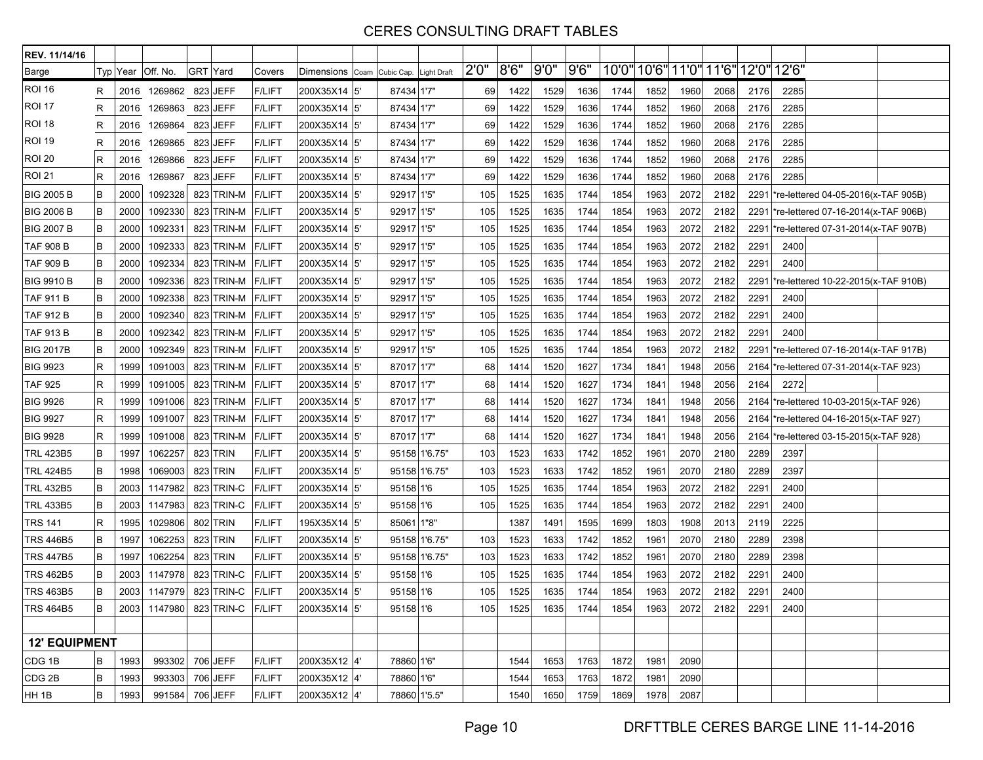| REV. 11/14/16        |   |          |                                |          |            |               |                            |                    |       |       |      |       |      |      |      |      |                                     |      |                                           |  |
|----------------------|---|----------|--------------------------------|----------|------------|---------------|----------------------------|--------------------|-------|-------|------|-------|------|------|------|------|-------------------------------------|------|-------------------------------------------|--|
| Barge                |   | Typ Year | Off. No.                       | GRT Yard |            | Covers        | Dimensions Coam Cubic Cap. | <b>Light Draft</b> | 2'0'' | 8'6'' | 9'0" | 9'6'' |      |      |      |      | 10'0" 10'6" 11'0" 11'6" 12'0" 12'6" |      |                                           |  |
| <b>ROI 16</b>        | R | 2016     | 1269862                        |          | 823 JEFF   | <b>F/LIFT</b> | 200X35X14 5                | 87434 1'7"         | 69    | 1422  | 1529 | 1636  | 1744 | 1852 | 1960 | 2068 | 2176                                | 2285 |                                           |  |
| <b>ROI 17</b>        | R | 2016     | 1269863 823 JEFF               |          |            | <b>F/LIFT</b> | 200X35X14 5                | 87434 1'7"         | 69    | 1422  | 1529 | 1636  | 1744 | 1852 | 1960 | 2068 | 2176                                | 2285 |                                           |  |
| ROI 18               | R | 2016     | 1269864 823 JEFF               |          |            | <b>F/LIFT</b> | 200X35X14 5'               | 87434 1'7"         | 69    | 1422  | 1529 | 1636  | 1744 | 1852 | 1960 | 2068 | 2176                                | 2285 |                                           |  |
| ROI 19               | R | 2016     | 1269865                        |          | 823 JEFF   | <b>F/LIFT</b> | 200X35X14 5'               | 87434 1'7"         | 69    | 1422  | 1529 | 1636  | 1744 | 1852 | 1960 | 2068 | 2176                                | 2285 |                                           |  |
| <b>ROI 20</b>        | R | 2016     | 1269866                        |          | 823 JEFF   | <b>F/LIFT</b> | 200X35X14 5                | 87434 1'7"         | 69    | 1422  | 1529 | 1636  | 1744 | 1852 | 1960 | 2068 | 2176                                | 2285 |                                           |  |
| ROI 21               | R | 2016     | 1269867                        |          | 823 JEFF   | <b>F/LIFT</b> | 200X35X14 5                | 87434 1'7"         | 69    | 1422  | 1529 | 1636  | 1744 | 1852 | 1960 | 2068 | 2176                                | 2285 |                                           |  |
| <b>BIG 2005 B</b>    | В | 2000     | 1092328                        |          | 823 TRIN-M | <b>F/LIFT</b> | 200X35X14 5                | 92917 1'5"         | 105   | 1525  | 1635 | 1744  | 1854 | 1963 | 2072 | 2182 | 2291                                |      | 're-lettered 04-05-2016(x-TAF 905B)       |  |
| <b>BIG 2006 B</b>    | В | 2000     | 1092330                        |          | 823 TRIN-M | <b>F/LIFT</b> | 200X35X14 5                | 92917 1'5"         | 105   | 1525  | 1635 | 1744  | 1854 | 1963 | 2072 | 2182 |                                     |      | 2291  *re-lettered 07-16-2014(x-TAF 906B) |  |
| <b>BIG 2007 B</b>    | В | 2000     | 1092331                        |          | 823 TRIN-M | <b>F/LIFT</b> | 200X35X14 5                | 92917 1'5"         | 105   | 1525  | 1635 | 1744  | 1854 | 1963 | 2072 | 2182 | 2291                                |      | 're-lettered 07-31-2014(x-TAF 907B)       |  |
| <b>TAF 908 B</b>     | В | 2000     | 1092333                        |          | 823 TRIN-M | <b>F/LIFT</b> | 200X35X14 5                | 92917 1'5"         | 105   | 1525  | 1635 | 1744  | 1854 | 1963 | 2072 | 2182 | 2291                                | 2400 |                                           |  |
| TAF 909 B            | в | 2000     | 1092334                        |          | 823 TRIN-M | <b>F/LIFT</b> | 200X35X14 5                | 92917 1'5"         | 105   | 1525  | 1635 | 1744  | 1854 | 1963 | 2072 | 2182 | 2291                                | 2400 |                                           |  |
| <b>BIG 9910 B</b>    | В | 2000     | 1092336                        |          | 823 TRIN-M | <b>F/LIFT</b> | 200X35X14 5                | 92917 1'5"         | 105   | 1525  | 1635 | 1744  | 1854 | 1963 | 2072 | 2182 | 2291                                |      | re-lettered 10-22-2015(x-TAF 910B)        |  |
| <b>TAF 911 B</b>     | в | 2000     | 1092338                        |          | 823 TRIN-M | <b>F/LIFT</b> | 200X35X14 5                | 92917 1'5"         | 105   | 1525  | 1635 | 1744  | 1854 | 1963 | 2072 | 2182 | 229'                                | 2400 |                                           |  |
| TAF 912 B            | в | 2000     | 1092340                        |          | 823 TRIN-M | <b>F/LIFT</b> | 200X35X14 5                | 92917 1'5"         | 105   | 1525  | 1635 | 1744  | 1854 | 1963 | 2072 | 2182 | 2291                                | 2400 |                                           |  |
| <b>TAF 913 B</b>     | В | 2000     | 1092342                        |          | 823 TRIN-M | <b>F/LIFT</b> | 200X35X14 5                | 92917 1'5"         | 105   | 1525  | 1635 | 1744  | 1854 | 1963 | 2072 | 2182 | 2291                                | 2400 |                                           |  |
| <b>BIG 2017B</b>     | В | 2000     | 1092349                        |          | 823 TRIN-M | <b>F/LIFT</b> | 200X35X14 5                | 92917 1'5"         | 105   | 1525  | 1635 | 1744  | 1854 | 1963 | 2072 | 2182 | 2291                                |      | re-lettered 07-16-2014(x-TAF 917B)*       |  |
| <b>BIG 9923</b>      | R | 1999     | 1091003                        |          | 823 TRIN-M | <b>F/LIFT</b> | 200X35X14 5                | 87017 1'7"         | 68    | 1414  | 1520 | 1627  | 1734 | 1841 | 1948 | 2056 |                                     |      | 2164  *re-lettered 07-31-2014 (x-TAF 923) |  |
| <b>TAF 925</b>       | R | 1999     | 1091005                        |          | 823 TRIN-M | <b>F/LIFT</b> | 200X35X14 5'               | 87017 1'7"         | 68    | 1414  | 1520 | 1627  | 1734 | 1841 | 1948 | 2056 | 2164                                | 2272 |                                           |  |
| <b>BIG 9926</b>      | R | 1999     | 1091006                        |          | 823 TRIN-M | <b>F/LIFT</b> | 200X35X14 5                | 87017 1'7"         | 68    | 1414  | 1520 | 1627  | 1734 | 1841 | 1948 | 2056 | 2164                                |      | *re-lettered 10-03-2015(x-TAF 926)        |  |
| <b>BIG 9927</b>      | R | 1999     | 1091007                        |          | 823 TRIN-M | <b>F/LIFT</b> | 200X35X14 5                | 87017 1'7"         | 68    | 1414  | 1520 | 1627  | 1734 | 1841 | 1948 | 2056 |                                     |      | 2164  *re-lettered 04-16-2015(x-TAF 927)  |  |
| <b>BIG 9928</b>      | R | 1999     | 1091008                        |          | 823 TRIN-M | <b>F/LIFT</b> | 200X35X14 5'               | 87017 1'7"         | 68    | 1414  | 1520 | 1627  | 1734 | 1841 | 1948 | 2056 | 2164                                |      | *re-lettered 03-15-2015(x-TAF 928)        |  |
| <b>TRL 423B5</b>     | В | 1997     | 1062257                        |          | 823 TRIN   | <b>F/LIFT</b> | 200X35X14 5'               | 95158 1'6.75"      | 103   | 1523  | 1633 | 1742  | 1852 | 1961 | 2070 | 2180 | 2289                                | 2397 |                                           |  |
| <b>TRL 424B5</b>     | В | 1998     | 1069003                        |          | 823 TRIN   | <b>F/LIFT</b> | 200X35X14 5                | 95158 1'6.75"      | 103   | 1523  | 1633 | 1742  | 1852 | 1961 | 2070 | 2180 | 2289                                | 2397 |                                           |  |
| TRL 432B5            | В | 2003     | 1147982                        |          | 823 TRIN-C | <b>F/LIFT</b> | 200X35X14 5                | 95158 1'6          | 105   | 1525  | 1635 | 1744  | 1854 | 1963 | 2072 | 2182 | 2291                                | 2400 |                                           |  |
| <b>TRL 433B5</b>     | В | 2003     | 1147983                        |          | 823 TRIN-C | <b>F/LIFT</b> | 200X35X14 5'               | 95158 1'6          | 105   | 1525  | 1635 | 1744  | 1854 | 1963 | 2072 | 2182 | 2291                                | 2400 |                                           |  |
| <b>TRS 141</b>       | R | 1995     | 1029806                        |          | 802 TRIN   | <b>F/LIFT</b> | 195X35X14  5'              | 85061 1"8"         |       | 1387  | 1491 | 1595  | 1699 | 1803 | 1908 | 2013 | 2119                                | 2225 |                                           |  |
| <b>TRS 446B5</b>     | В | 1997     | 1062253                        |          | 823 TRIN   | <b>F/LIFT</b> | 200X35X14 5                | 95158 1'6.75'      | 103   | 1523  | 1633 | 1742  | 1852 | 1961 | 2070 | 2180 | 2289                                | 2398 |                                           |  |
| <b>TRS 447B5</b>     | В | 1997     | 1062254                        |          | 823 TRIN   | <b>F/LIFT</b> | 200X35X14 5                | 95158 1'6.75'      | 103   | 1523  | 1633 | 1742  | 1852 | 1961 | 2070 | 2180 | 2289                                | 2398 |                                           |  |
| TRS 462B5            | В | 2003     | 1147978                        |          | 823 TRIN-C | <b>F/LIFT</b> | 200X35X14 5'               | 95158 1'6          | 105   | 1525  | 1635 | 1744  | 1854 | 1963 | 2072 | 2182 | 2291                                | 2400 |                                           |  |
| <b>TRS 463B5</b>     | В | 2003     | 1147979                        |          | 823 TRIN-C | <b>F/LIFT</b> | 200X35X14 5                | 95158 1'6          | 105   | 1525  | 1635 | 1744  | 1854 | 1963 | 2072 | 2182 | 229'                                | 2400 |                                           |  |
| <b>TRS 464B5</b>     | В |          | 2003 1147980 823 TRIN-C F/LIFT |          |            |               | 200X35X14 5                | 95158 1'6          | 105   | 1525  | 1635 | 1744  | 1854 | 1963 | 2072 | 2182 | 2291                                | 2400 |                                           |  |
|                      |   |          |                                |          |            |               |                            |                    |       |       |      |       |      |      |      |      |                                     |      |                                           |  |
| <b>12' EQUIPMENT</b> |   |          |                                |          |            |               |                            |                    |       |       |      |       |      |      |      |      |                                     |      |                                           |  |
| CDG 1B               | В | 1993     | 993302 706 JEFF                |          |            | <b>F/LIFT</b> | 200X35X12 4'               | 78860 1'6"         |       | 1544  | 1653 | 1763  | 1872 | 1981 | 2090 |      |                                     |      |                                           |  |
| CDG <sub>2B</sub>    | B | 1993     | 993303                         |          | 706 JEFF   | <b>F/LIFT</b> | 200X35X12 4'               | 78860 1'6"         |       | 1544  | 1653 | 1763  | 1872 | 1981 | 2090 |      |                                     |      |                                           |  |
| HH 1B                | B | 1993     | 991584 706 JEFF                |          |            | <b>F/LIFT</b> | 200X35X12 4'               | 78860 1'5.5"       |       | 1540  | 1650 | 1759  | 1869 | 1978 | 2087 |      |                                     |      |                                           |  |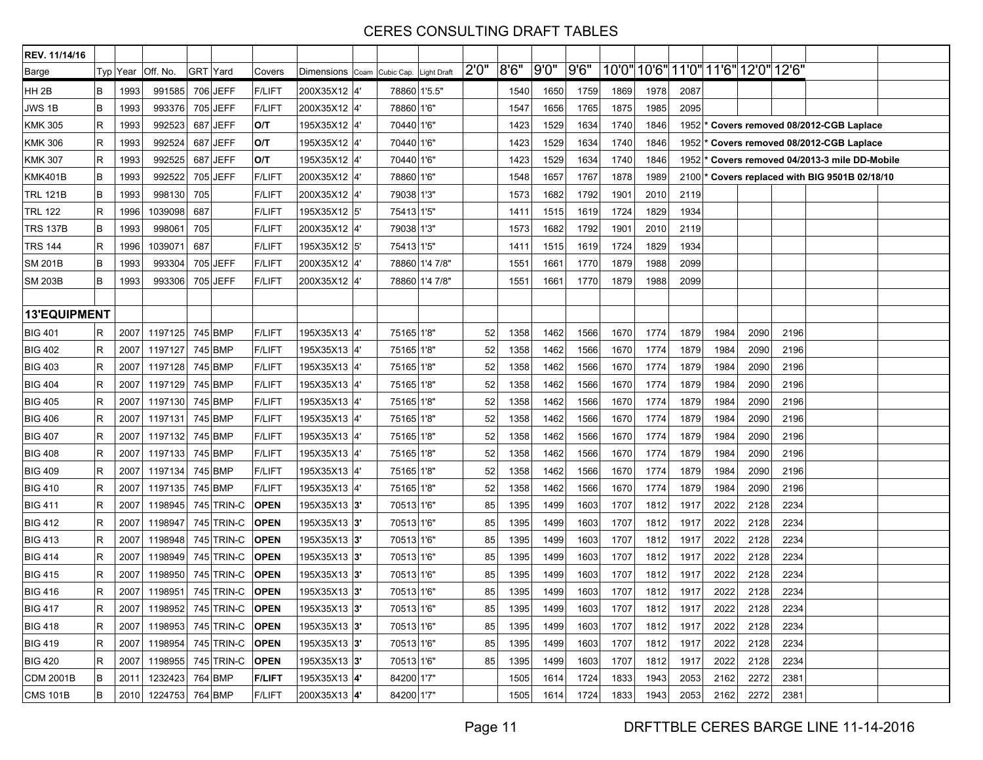| REV. 11/14/16       |   |      |                              |          |                 |               |                            |              |                    |       |      |      |       |      |                                     |      |      |      |      |                                                           |  |
|---------------------|---|------|------------------------------|----------|-----------------|---------------|----------------------------|--------------|--------------------|-------|------|------|-------|------|-------------------------------------|------|------|------|------|-----------------------------------------------------------|--|
| Barge               |   |      | Typ Year   Off. No.          | GRT Yard |                 | Covers        | Dimensions Coam Cubic Cap. |              | <b>Light Draft</b> | 2'0'' | 8'6" | 9'0" | 9'6'' |      | 10'0" 10'6" 11'0" 11'6" 12'0" 12'6" |      |      |      |      |                                                           |  |
| HH <sub>2B</sub>    | В | 1993 | 991585                       |          | 706 JEFF        | <b>F/LIFT</b> | 200X35X12 4'               | 78860 1'5.5" |                    |       | 1540 | 1650 | 1759  | 1869 | 1978                                | 2087 |      |      |      |                                                           |  |
| JWS 1B              | В | 1993 | 993376                       |          | 705 JEFF        | <b>F/LIFT</b> | 200X35X12 4                | 78860 1'6"   |                    |       | 1547 | 1656 | 1765  | 1875 | 1985                                | 2095 |      |      |      |                                                           |  |
| <b>KMK 305</b>      | R | 1993 | 992523                       |          | 687 JEFF        | O/T           | 195X35X12 4'               | 70440 1'6"   |                    |       | 1423 | 1529 | 1634  | 1740 | 1846                                |      |      |      |      | 1952 <sup>*</sup> Covers removed 08/2012-CGB Laplace      |  |
| <b>KMK 306</b>      | R | 1993 | 992524                       |          | 687 JEFF        | O/T           | 195X35X12 4'               | 70440 1'6"   |                    |       | 1423 | 1529 | 1634  | 1740 | 1846                                |      |      |      |      | 1952 <sup>*</sup> Covers removed 08/2012-CGB Laplace      |  |
| <b>KMK 307</b>      | R | 1993 | 992525                       |          | 687 JEFF        | O/T           | 195X35X12 4'               | 70440 1'6"   |                    |       | 1423 | 1529 | 1634  | 1740 | 1846                                |      |      |      |      | 1952 * Covers removed 04/2013-3 mile DD-Mobile            |  |
| KMK401B             | В | 1993 | 992522                       |          | 705 JEFF        | <b>F/LIFT</b> | 200X35X12 4'               | 78860 1'6"   |                    |       | 1548 | 1657 | 1767  | 1878 | 1989                                |      |      |      |      | 2100 <sup>*</sup> Covers replaced with BIG 9501B 02/18/10 |  |
| <b>TRL 121B</b>     | В | 1993 | 998130                       | 705      |                 | <b>F/LIFT</b> | 200X35X12 4'               | 79038 1'3"   |                    |       | 1573 | 1682 | 1792  | 1901 | 2010                                | 2119 |      |      |      |                                                           |  |
| <b>TRL 122</b>      | R | 1996 | 1039098                      | 687      |                 | <b>F/LIFT</b> | 195X35X12  5'              | 75413 1'5"   |                    |       | 1411 | 1515 | 1619  | 1724 | 1829                                | 1934 |      |      |      |                                                           |  |
| <b>TRS 137B</b>     | В | 1993 | 998061                       | 705      |                 | <b>F/LIFT</b> | 200X35X12 4'               | 79038 1'3"   |                    |       | 1573 | 1682 | 1792  | 1901 | 2010                                | 2119 |      |      |      |                                                           |  |
| <b>TRS 144</b>      | R | 1996 | 1039071                      | 687      |                 | <b>F/LIFT</b> | 195X35X12 5'               | 75413 1'5"   |                    |       | 1411 | 1515 | 1619  | 1724 | 1829                                | 1934 |      |      |      |                                                           |  |
| <b>SM 201B</b>      | B | 1993 | 993304                       |          | 705 JEFF        | <b>F/LIFT</b> | 200X35X12 4'               |              | 78860 1'4 7/8"     |       | 1551 | 1661 | 1770  | 1879 | 1988                                | 2099 |      |      |      |                                                           |  |
| <b>SM 203B</b>      | В | 1993 | 993306                       |          | 705 JEFF        | <b>F/LIFT</b> | 200X35X12 4'               |              | 78860 1'4 7/8"     |       | 1551 | 1661 | 1770  | 1879 | 1988                                | 2099 |      |      |      |                                                           |  |
|                     |   |      |                              |          |                 |               |                            |              |                    |       |      |      |       |      |                                     |      |      |      |      |                                                           |  |
| <b>13'EQUIPMENT</b> |   |      |                              |          |                 |               |                            |              |                    |       |      |      |       |      |                                     |      |      |      |      |                                                           |  |
| <b>BIG 401</b>      | R | 2007 | 1197125                      |          | 745 BMP         | <b>F/LIFT</b> | 195X35X13  4'              | 75165 1'8"   |                    | 52    | 1358 | 1462 | 1566  | 1670 | 1774                                | 1879 | 1984 | 2090 | 2196 |                                                           |  |
| <b>BIG 402</b>      | R | 2007 | 1197127                      |          | 745 BMP         | <b>F/LIFT</b> | 195X35X13 4'               | 75165 1'8"   |                    | 52    | 1358 | 1462 | 1566  | 1670 | 1774                                | 1879 | 1984 | 2090 | 2196 |                                                           |  |
| <b>BIG 403</b>      | R | 2007 | 1197128                      |          | 745 BMP         | <b>F/LIFT</b> | 195X35X13 4'               | 75165 1'8"   |                    | 52    | 1358 | 1462 | 1566  | 1670 | 1774                                | 1879 | 1984 | 2090 | 2196 |                                                           |  |
| <b>BIG 404</b>      | R | 2007 | 1197129                      |          | 745 BMP         | <b>F/LIFT</b> | 195X35X13  4'              | 75165 1'8"   |                    | 52    | 1358 | 1462 | 1566  | 1670 | 1774                                | 1879 | 1984 | 2090 | 2196 |                                                           |  |
| <b>BIG 405</b>      | R | 2007 | 1197130                      |          | 745 BMP         | <b>F/LIFT</b> | 195X35X13 4'               | 75165 1'8"   |                    | 52    | 1358 | 1462 | 1566  | 1670 | 1774                                | 1879 | 1984 | 2090 | 2196 |                                                           |  |
| <b>BIG 406</b>      | R | 2007 | 1197131                      |          | 745 BMP         | <b>F/LIFT</b> | 195X35X13 <sup>4</sup>     | 75165 1'8"   |                    | 52    | 1358 | 1462 | 1566  | 1670 | 1774                                | 1879 | 1984 | 2090 | 2196 |                                                           |  |
| <b>BIG 407</b>      | R | 2007 | 1197132                      |          | 745 BMP         | <b>F/LIFT</b> | 195X35X13  4'              | 75165 1'8"   |                    | 52    | 1358 | 1462 | 1566  | 1670 | 1774                                | 1879 | 1984 | 2090 | 2196 |                                                           |  |
| <b>BIG 408</b>      | R | 2007 | 1197133                      |          | 745 BMP         | <b>F/LIFT</b> | 195X35X13 4'               | 75165 1'8"   |                    | 52    | 1358 | 1462 | 1566  | 1670 | 1774                                | 1879 | 1984 | 2090 | 2196 |                                                           |  |
| <b>BIG 409</b>      | R | 2007 | 1197134                      |          | 745 BMP         | <b>F/LIFT</b> | 195X35X13 <sup>4</sup>     | 75165 1'8"   |                    | 52    | 1358 | 1462 | 1566  | 1670 | 1774                                | 1879 | 1984 | 2090 | 2196 |                                                           |  |
| <b>BIG 410</b>      | R | 2007 | 1197135                      |          | 745 BMP         | <b>F/LIFT</b> | 195X35X13 4'               | 75165 1'8"   |                    | 52    | 1358 | 1462 | 1566  | 1670 | 1774                                | 1879 | 1984 | 2090 | 2196 |                                                           |  |
| <b>BIG 411</b>      | R | 2007 | 1198945                      |          | 745 TRIN-C      | <b>OPEN</b>   | 195X35X13 3'               | 70513 1'6"   |                    | 85    | 1395 | 1499 | 1603  | 1707 | 1812                                | 1917 | 2022 | 2128 | 2234 |                                                           |  |
| <b>BIG 412</b>      | R | 2007 | 1198947                      |          | 745 TRIN-C      | <b>OPEN</b>   | 195X35X13 3'               | 70513 1'6"   |                    | 85    | 1395 | 1499 | 1603  | 1707 | 1812                                | 1917 | 2022 | 2128 | 2234 |                                                           |  |
| <b>BIG 413</b>      | R | 2007 | 1198948                      |          | 745 TRIN-C      | <b>OPEN</b>   | 195X35X13   <b>3'</b>      | 70513 1'6"   |                    | 85    | 1395 | 1499 | 1603  | 1707 | 1812                                | 1917 | 2022 | 2128 | 2234 |                                                           |  |
| <b>BIG 414</b>      | R | 2007 | 1198949                      |          | 745 TRIN-C      | <b>OPEN</b>   | 195X35X13 3'               | 70513 1'6"   |                    | 85    | 1395 | 1499 | 1603  | 1707 | 1812                                | 1917 | 2022 | 2128 | 2234 |                                                           |  |
| <b>BIG 415</b>      | R | 2007 | 1198950                      |          | 745 TRIN-C      | <b>OPEN</b>   | 195X35X13 3'               | 70513 1'6"   |                    | 85    | 1395 | 1499 | 1603  | 1707 | 1812                                | 1917 | 2022 | 2128 | 2234 |                                                           |  |
| <b>BIG 416</b>      | R | 2007 | 1198951                      |          | 745 TRIN-C      | <b>OPEN</b>   | 195X35X13   <b>3'</b>      | 70513 1'6"   |                    | 85    | 1395 | 1499 | 1603  | 1707 | 1812                                | 1917 | 2022 | 2128 | 2234 |                                                           |  |
| <b>BIG 417</b>      | R |      | 2007 1198952 745 TRIN-C OPEN |          |                 |               | 195X35X13 3'               | 70513 1'6"   |                    | 85    | 1395 | 1499 | 1603  | 1707 | 1812                                | 1917 | 2022 | 2128 | 2234 |                                                           |  |
| <b>BIG 418</b>      | R | 2007 | 1198953                      |          | 745 TRIN-C OPEN |               | 195X35X13 3'               | 70513 1'6"   |                    | 85    | 1395 | 1499 | 1603  | 1707 | 1812                                | 1917 | 2022 | 2128 | 2234 |                                                           |  |
| <b>BIG 419</b>      | R | 2007 | 1198954                      |          | 745 TRIN-C OPEN |               | 195X35X13 3'               | 70513 1'6"   |                    | 85    | 1395 | 1499 | 1603  | 1707 | 1812                                | 1917 | 2022 | 2128 | 2234 |                                                           |  |
| <b>BIG 420</b>      | R | 2007 | 1198955                      |          | 745 TRIN-C      | <b>OPEN</b>   | 195X35X13 3'               | 70513 1'6"   |                    | 85    | 1395 | 1499 | 1603  | 1707 | 1812                                | 1917 | 2022 | 2128 | 2234 |                                                           |  |
| <b>CDM 2001B</b>    | В | 2011 | 1232423                      |          | 764 BMP         | <b>F/LIFT</b> | 195X35X13 4'               | 84200 1'7"   |                    |       | 1505 | 1614 | 1724  | 1833 | 1943                                | 2053 | 2162 | 2272 | 2381 |                                                           |  |
| <b>CMS 101B</b>     | B |      | 2010 1224753 764 BMP         |          |                 | <b>F/LIFT</b> | 200X35X13 4'               | 84200 1'7"   |                    |       | 1505 | 1614 | 1724  | 1833 | 1943                                | 2053 | 2162 | 2272 | 2381 |                                                           |  |